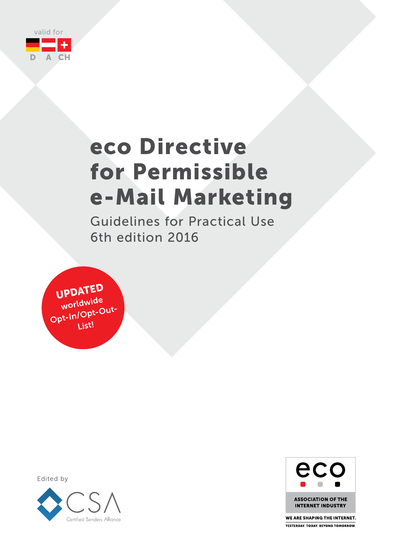

# eco Directive for Permissible e-Mail Marketing

Guidelines for Practical Use 6th edition 2016

UPDATED worldwide Opt-In / Opt-Out-List!

> eco **ASSOCIATION OF THE** INTERNET INDUSTRY

WE ARE SHAPING THE INTERNET. **YESTERDAY TODAY BEYOND TOMORROW** 

Edited by

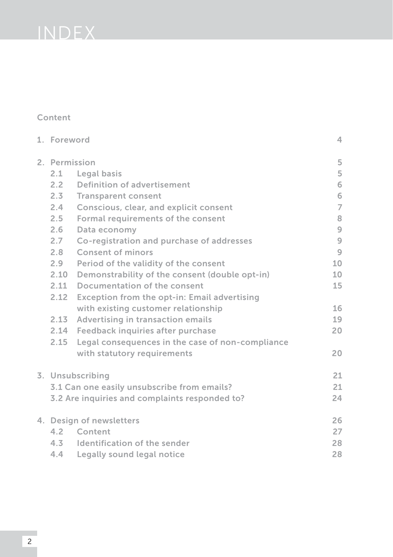# INDEX

# Content

| 1. Foreword                                 |                                                  | 4              |  |  |
|---------------------------------------------|--------------------------------------------------|----------------|--|--|
| 2. Permission                               |                                                  |                |  |  |
| 2.1                                         | Legal basis                                      | 5              |  |  |
| $2.2 -$                                     | Definition of advertisement                      | 6              |  |  |
| $2.3 -$                                     | <b>Transparent consent</b>                       | 6              |  |  |
| 2.4                                         | Conscious, clear, and explicit consent           | $\overline{7}$ |  |  |
| $2.5 -$                                     | Formal requirements of the consent               | 8              |  |  |
| 2.6                                         | Data economy                                     | $\overline{9}$ |  |  |
| 2.7                                         | Co-registration and purchase of addresses        | $\overline{9}$ |  |  |
| 2.8                                         | Consent of minors                                | $\overline{9}$ |  |  |
| $2.9 -$                                     | Period of the validity of the consent            | 10             |  |  |
| 2.10                                        | Demonstrability of the consent (double opt-in)   | 10             |  |  |
| 2.11                                        | Documentation of the consent                     | 15             |  |  |
| 2.12                                        | Exception from the opt-in: Email advertising     |                |  |  |
|                                             | with existing customer relationship              | 16             |  |  |
| 2.13                                        | Advertising in transaction emails                | 19             |  |  |
|                                             | 2.14 Feedback inquiries after purchase           | 20             |  |  |
| 2.15                                        | Legal consequences in the case of non-compliance |                |  |  |
|                                             | with statutory requirements                      | 20             |  |  |
|                                             | 3. Unsubscribing                                 | 21             |  |  |
| 3.1 Can one easily unsubscribe from emails? |                                                  |                |  |  |
|                                             | 3.2 Are inquiries and complaints responded to?   | 24             |  |  |
|                                             | 4. Design of newsletters                         | 26             |  |  |
| 4.2                                         | Content                                          | 27             |  |  |
|                                             | 4.3 Identification of the sender                 | 28             |  |  |
| 4.4                                         | Legally sound legal notice                       | 28             |  |  |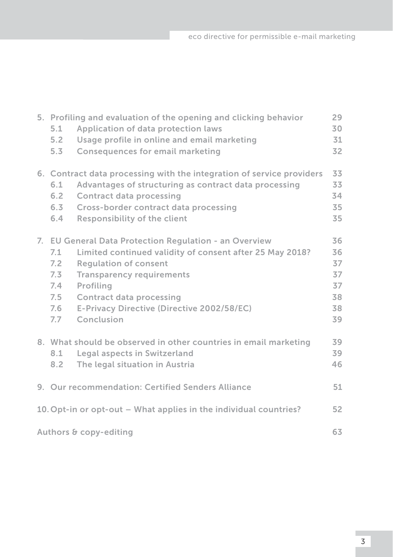|                              | 5. Profiling and evaluation of the opening and clicking behavior<br>29 |                                                                       |    |  |  |  |
|------------------------------|------------------------------------------------------------------------|-----------------------------------------------------------------------|----|--|--|--|
|                              | 5.1                                                                    | Application of data protection laws                                   | 30 |  |  |  |
|                              | 5.2                                                                    | Usage profile in online and email marketing                           | 31 |  |  |  |
|                              | 5.3                                                                    | <b>Consequences for email marketing</b>                               | 32 |  |  |  |
|                              |                                                                        | 6. Contract data processing with the integration of service providers | 33 |  |  |  |
|                              | 6.1                                                                    | Advantages of structuring as contract data processing                 | 33 |  |  |  |
|                              | 6.2                                                                    | <b>Contract data processing</b>                                       | 34 |  |  |  |
|                              | $6.3 -$                                                                | Cross-border contract data processing                                 | 35 |  |  |  |
|                              | 6.4                                                                    | <b>Responsibility of the client</b>                                   | 35 |  |  |  |
|                              |                                                                        | 7. EU General Data Protection Regulation - an Overview                | 36 |  |  |  |
|                              | 7.1                                                                    | Limited continued validity of consent after 25 May 2018?              | 36 |  |  |  |
|                              | 7.2                                                                    | <b>Requlation of consent</b>                                          | 37 |  |  |  |
|                              | 7.3                                                                    | <b>Transparency requirements</b>                                      | 37 |  |  |  |
|                              | 7.4                                                                    | Profiling                                                             | 37 |  |  |  |
|                              | 7.5                                                                    | <b>Contract data processing</b>                                       | 38 |  |  |  |
|                              | 7.6                                                                    | E-Privacy Directive (Directive 2002/58/EC)                            | 38 |  |  |  |
|                              | 7.7                                                                    | Conclusion                                                            | 39 |  |  |  |
|                              |                                                                        | 8. What should be observed in other countries in email marketing      | 39 |  |  |  |
|                              | 8.1                                                                    | Legal aspects in Switzerland                                          | 39 |  |  |  |
|                              | 8.2                                                                    | The legal situation in Austria                                        | 46 |  |  |  |
|                              |                                                                        |                                                                       |    |  |  |  |
|                              |                                                                        | 9. Our recommendation: Certified Senders Alliance                     | 51 |  |  |  |
|                              |                                                                        | 10. Opt-in or opt-out – What applies in the individual countries?     | 52 |  |  |  |
| 63<br>Authors & copy-editing |                                                                        |                                                                       |    |  |  |  |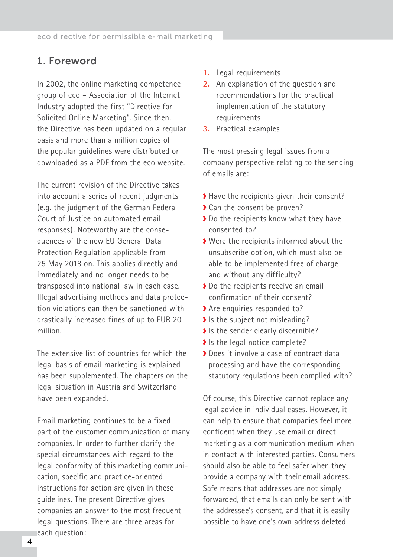# <span id="page-3-0"></span>1. Foreword

In 2002, the online marketing competence group of eco – Association of the Internet Industry adopted the first "Directive for Solicited Online Marketing". Since then, the Directive has been updated on a regular basis and more than a million copies of the popular guidelines were distributed or downloaded as a PDF from the eco website.

The current revision of the Directive takes into account a series of recent judgments (e.g. the judgment of the German Federal Court of Justice on automated email responses). Noteworthy are the consequences of the new EU General Data Protection Regulation applicable from 25 May 2018 on. This applies directly and immediately and no longer needs to be transposed into national law in each case. Illegal advertising methods and data protection violations can then be sanctioned with drastically increased fines of up to EUR 20 million.

The extensive list of countries for which the legal basis of email marketing is explained has been supplemented. The chapters on the legal situation in Austria and Switzerland have been expanded.

Email marketing continues to be a fixed part of the customer communication of many companies. In order to further clarify the special circumstances with regard to the legal conformity of this marketing communication, specific and practice-oriented instructions for action are given in these guidelines. The present Directive gives companies an answer to the most frequent legal questions. There are three areas for each question:

- **1.** Legal requirements
- **2.** An explanation of the question and recommendations for the practical implementation of the statutory requirements
- **3.** Practical examples

The most pressing legal issues from a company perspective relating to the sending of emails are:

- Have the recipients given their consent?
- ◆ Can the consent be proven?
- ◆ Do the recipients know what they have consented to?
- Were the recipients informed about the unsubscribe option, which must also be able to be implemented free of charge and without any difficulty?
- ◆ Do the recipients receive an email confirmation of their consent?
- Are enquiries responded to?
- $\blacktriangleright$  Is the subject not misleading?
- Is the sender clearly discernible?
- Is the legal notice complete?
- Does it involve a case of contract data processing and have the corresponding statutory regulations been complied with?

Of course, this Directive cannot replace any legal advice in individual cases. However, it can help to ensure that companies feel more confident when they use email or direct marketing as a communication medium when in contact with interested parties. Consumers should also be able to feel safer when they provide a company with their email address. Safe means that addresses are not simply forwarded, that emails can only be sent with the addressee's consent, and that it is easily possible to have one's own address deleted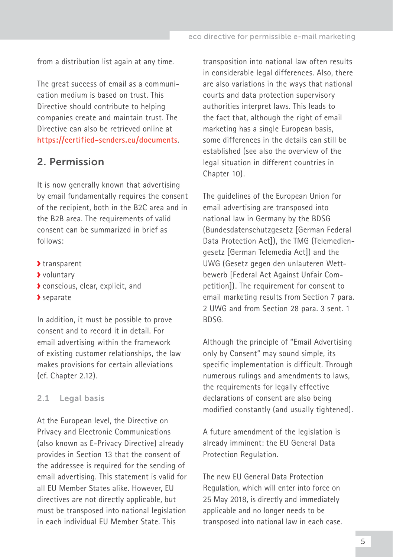<span id="page-4-0"></span>from a distribution list again at any time.

The great success of email as a communication medium is based on trust. This Directive should contribute to helping companies create and maintain trust. The Directive can also be retrieved online at **[https://certified-senders.eu/documents](https://certified-senders.eu/documents/)**.

# 2. Permission

It is now generally known that advertising by email fundamentally requires the consent of the recipient, both in the B2C area and in the B2B area. The requirements of valid consent can be summarized in brief as follows:

- transparent
- voluntary
- conscious, clear, explicit, and
- separate

In addition, it must be possible to prove consent and to record it in detail. For email advertising within the framework of existing customer relationships, the law makes provisions for certain alleviations (cf. Chapter 2.12).

#### 2.1 Legal basis

At the European level, the Directive on Privacy and Electronic Communications (also known as E-Privacy Directive) already provides in Section 13 that the consent of the addressee is required for the sending of email advertising. This statement is valid for all EU Member States alike. However, EU directives are not directly applicable, but must be transposed into national legislation in each individual EU Member State. This

transposition into national law often results in considerable legal differences. Also, there are also variations in the ways that national courts and data protection supervisory authorities interpret laws. This leads to the fact that, although the right of email marketing has a single European basis, some differences in the details can still be established (see also the overview of the legal situation in different countries in Chapter 10).

The guidelines of the European Union for email advertising are transposed into national law in Germany by the BDSG (Bundesdatenschutzgesetz [German Federal Data Protection Actl), the TMG (Telemediengesetz [German Telemedia Act]) and the UWG (Gesetz gegen den unlauteren Wettbewerb [Federal Act Against Unfair Competition]). The requirement for consent to email marketing results from Section 7 para. 2 UWG and from Section 28 para. 3 sent. 1 BDSG.

Although the principle of "Email Advertising only by Consent" may sound simple, its specific implementation is difficult. Through numerous rulings and amendments to laws, the requirements for legally effective declarations of consent are also being modified constantly (and usually tightened).

A future amendment of the legislation is already imminent: the EU General Data Protection Regulation.

The new EU General Data Protection Regulation, which will enter into force on 25 May 2018, is directly and immediately applicable and no longer needs to be transposed into national law in each case.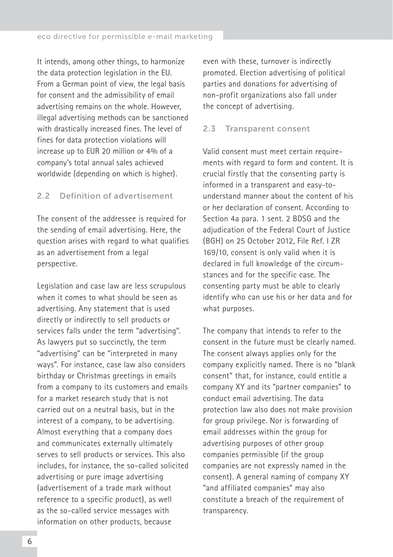<span id="page-5-0"></span>It intends, among other things, to harmonize the data protection legislation in the EU. From a German point of view, the legal basis for consent and the admissibility of email advertising remains on the whole. However, illegal advertising methods can be sanctioned with drastically increased fines. The level of fines for data protection violations will increase up to EUR 20 million or 4% of a company's total annual sales achieved worldwide (depending on which is higher).

#### 2.2 Definition of advertisement

The consent of the addressee is required for the sending of email advertising. Here, the question arises with regard to what qualifies as an advertisement from a legal perspective.

Legislation and case law are less scrupulous when it comes to what should be seen as advertising. Any statement that is used directly or indirectly to sell products or services falls under the term "advertising". As lawyers put so succinctly, the term "advertising" can be "interpreted in many ways". For instance, case law also considers birthday or Christmas greetings in emails from a company to its customers and emails for a market research study that is not carried out on a neutral basis, but in the interest of a company, to be advertising. Almost everything that a company does and communicates externally ultimately serves to sell products or services. This also includes, for instance, the so-called solicited advertising or pure image advertising (advertisement of a trade mark without reference to a specific product), as well as the so-called service messages with information on other products, because

even with these, turnover is indirectly promoted. Election advertising of political parties and donations for advertising of non-profit organizations also fall under the concept of advertising.

#### 2.3 Transparent consent

Valid consent must meet certain requirements with regard to form and content. It is crucial firstly that the consenting party is informed in a transparent and easy-tounderstand manner about the content of his or her declaration of consent. According to Section 4a para. 1 sent. 2 BDSG and the adjudication of the Federal Court of Justice (BGH) on 25 October 2012, File Ref. I ZR 169/10, consent is only valid when it is declared in full knowledge of the circumstances and for the specific case. The consenting party must be able to clearly identify who can use his or her data and for what purposes.

The company that intends to refer to the consent in the future must be clearly named. The consent always applies only for the company explicitly named. There is no "blank consent" that, for instance, could entitle a company XY and its "partner companies" to conduct email advertising. The data protection law also does not make provision for group privilege. Nor is forwarding of email addresses within the group for advertising purposes of other group companies permissible (if the group companies are not expressly named in the consent). A general naming of company XY "and affiliated companies" may also constitute a breach of the requirement of transparency.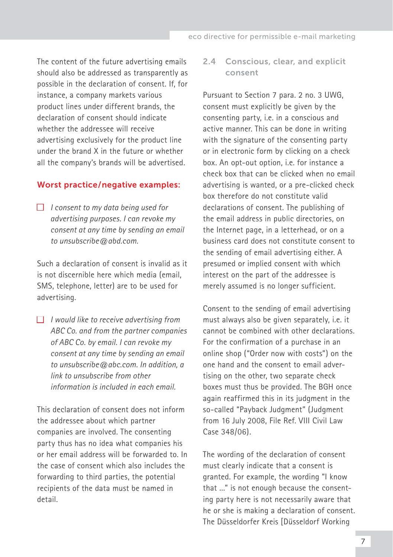<span id="page-6-0"></span>The content of the future advertising emails should also be addressed as transparently as possible in the declaration of consent. If, for instance, a company markets various product lines under different brands, the declaration of consent should indicate whether the addressee will receive advertising exclusively for the product line under the brand X in the future or whether all the company's brands will be advertised.

#### Worst practice / negative examples:

■ *I consent to my data being used for advertising purposes. I can revoke my consent at any time by sending an email to unsubscribe@abd.com.*

Such a declaration of consent is invalid as it is not discernible here which media (email, SMS, telephone, letter) are to be used for advertising.

■ *I would like to receive advertising from ABC Co. and from the partner companies of ABC Co. by email. I can revoke my consent at any time by sending an email to unsubscribe@abc.com. In addition, a link to unsubscribe from other information is included in each email.*

This declaration of consent does not inform the addressee about which partner companies are involved. The consenting party thus has no idea what companies his or her email address will be forwarded to. In the case of consent which also includes the forwarding to third parties, the potential recipients of the data must be named in detail.

#### 2.4 Conscious, clear, and explicit consent

Pursuant to Section 7 para. 2 no. 3 UWG, consent must explicitly be given by the consenting party, i.e. in a conscious and active manner. This can be done in writing with the signature of the consenting party or in electronic form by clicking on a check box. An opt-out option, i.e. for instance a check box that can be clicked when no email advertising is wanted, or a pre-clicked check box therefore do not constitute valid declarations of consent. The publishing of the email address in public directories, on the Internet page, in a letterhead, or on a business card does not constitute consent to the sending of email advertising either. A presumed or implied consent with which interest on the part of the addressee is merely assumed is no longer sufficient.

Consent to the sending of email advertising must always also be given separately, i.e. it cannot be combined with other declarations. For the confirmation of a purchase in an online shop ("Order now with costs") on the one hand and the consent to email advertising on the other, two separate check boxes must thus be provided. The BGH once again reaffirmed this in its judgment in the so-called "Payback Judgment" (Judgment from 16 July 2008, File Ref. VIII Civil Law Case 348/06).

The wording of the declaration of consent must clearly indicate that a consent is granted. For example, the wording "I know that ..." is not enough because the consenting party here is not necessarily aware that he or she is making a declaration of consent. The Düsseldorfer Kreis [Düsseldorf Working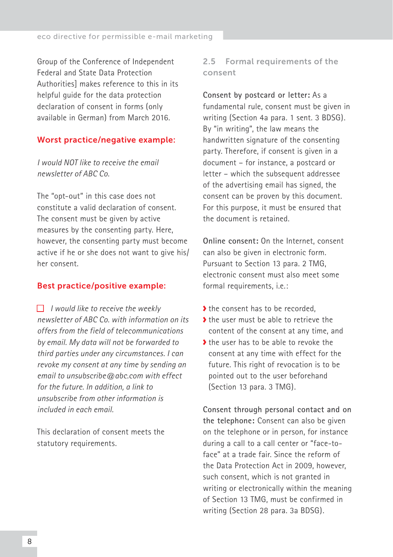<span id="page-7-0"></span>Group of the Conference of Independent Federal and State Data Protection Authorities] makes reference to this in its helpful guide for the data protection declaration of consent in forms (only available [in German](https://www.datenschutz-mv.de/datenschutz/publikationen/informat/formular/OH_Formular.pdf)) from March 2016.

#### Worst practice/negative example:

*I would NOT like to receive the email newsletter of ABC Co.*

The "opt-out" in this case does not constitute a valid declaration of consent. The consent must be given by active measures by the consenting party. Here, however, the consenting party must become active if he or she does not want to give his/ her consent.

#### Best practice/positive example:

■ *I would like to receive the weekly newsletter of ABC Co. with information on its offers from the field of telecommunications by email. My data will not be forwarded to third parties under any circumstances. I can revoke my consent at any time by sending an email to unsubscribe@abc.com with effect for the future. In addition, a link to unsubscribe from other information is included in each email.*

This declaration of consent meets the statutory requirements.

## 2.5 Formal requirements of the consent

**Consent by postcard or letter:** As a fundamental rule, consent must be given in writing (Section 4a para. 1 sent. 3 BDSG). By "in writing", the law means the handwritten signature of the consenting party. Therefore, if consent is given in a document – for instance, a postcard or letter – which the subsequent addressee of the advertising email has signed, the consent can be proven by this document. For this purpose, it must be ensured that the document is retained.

**Online consent:** On the Internet, consent can also be given in electronic form. Pursuant to Section 13 para. 2 TMG, electronic consent must also meet some formal requirements, i.e.:

- If the consent has to be recorded
- If the user must be able to retrieve the content of the consent at any time, and
- If the user has to be able to revoke the consent at any time with effect for the future. This right of revocation is to be pointed out to the user beforehand (Section 13 para. 3 TMG).

**Consent through personal contact and on the telephone:** Consent can also be given on the telephone or in person, for instance during a call to a call center or "face-toface" at a trade fair. Since the reform of the Data Protection Act in 2009, however, such consent, which is not granted in writing or electronically within the meaning of Section 13 TMG, must be confirmed in writing (Section 28 para. 3a BDSG).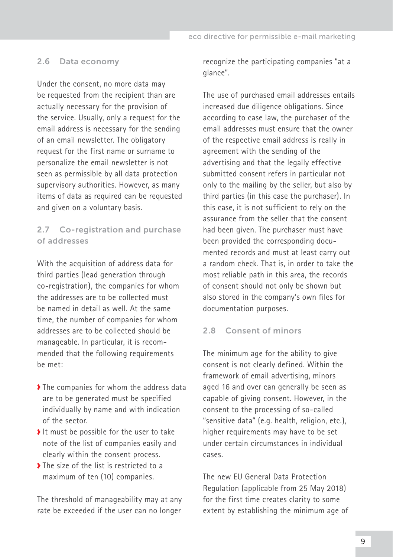#### <span id="page-8-0"></span>2.6 Data economy

Under the consent, no more data may be requested from the recipient than are actually necessary for the provision of the service. Usually, only a request for the email address is necessary for the sending of an email newsletter. The obligatory request for the first name or surname to personalize the email newsletter is not seen as permissible by all data protection supervisory authorities. However, as many items of data as required can be requested and given on a voluntary basis.

## 2.7 Co-registration and purchase of addresses

With the acquisition of address data for third parties (lead generation through co-registration), the companies for whom the addresses are to be collected must be named in detail as well. At the same time, the number of companies for whom addresses are to be collected should be manageable. In particular, it is recommended that the following requirements be met:

- The companies for whom the address data are to be generated must be specified individually by name and with indication of the sector.
- It must be possible for the user to take note of the list of companies easily and clearly within the consent process.
- The size of the list is restricted to a maximum of ten (10) companies.

The threshold of manageability may at any rate be exceeded if the user can no longer recognize the participating companies "at a glance".

The use of purchased email addresses entails increased due diligence obligations. Since according to case law, the purchaser of the email addresses must ensure that the owner of the respective email address is really in agreement with the sending of the advertising and that the legally effective submitted consent refers in particular not only to the mailing by the seller, but also by third parties (in this case the purchaser). In this case, it is not sufficient to rely on the assurance from the seller that the consent had been given. The purchaser must have been provided the corresponding documented records and must at least carry out a random check. That is, in order to take the most reliable path in this area, the records of consent should not only be shown but also stored in the company's own files for documentation purposes.

## 2.8 Consent of minors

The minimum age for the ability to give consent is not clearly defined. Within the framework of email advertising, minors aged 16 and over can generally be seen as capable of giving consent. However, in the consent to the processing of so-called "sensitive data" (e.g. health, religion, etc.), higher requirements may have to be set under certain circumstances in individual cases.

The new EU General Data Protection Regulation (applicable from 25 May 2018) for the first time creates clarity to some extent by establishing the minimum age of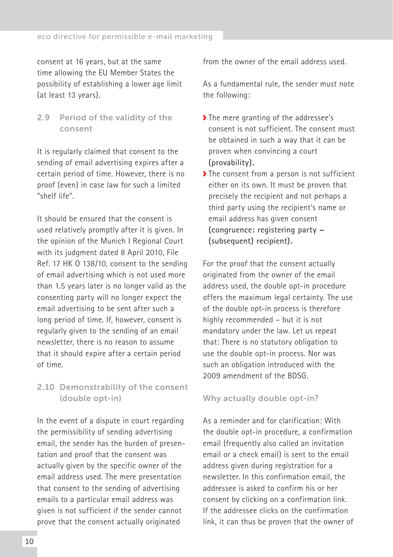<span id="page-9-0"></span>consent at 16 years, but at the same time allowing the EU Member States the possibility of establishing a lower age limit (at least 13 years).

2.9 Period of the validity of the consent

It is regularly claimed that consent to the sending of email advertising expires after a certain period of time. However, there is no proof (even) in case law for such a limited "shelf life".

It should be ensured that the consent is used relatively promptly after it is given. In the opinion of the Munich I Regional Court with its judgment dated 8 April 2010, File Ref. 17 HK O 138/10, consent to the sending of email advertising which is not used more than 1.5 years later is no longer valid as the consenting party will no longer expect the email advertising to be sent after such a long period of time. If, however, consent is regularly given to the sending of an email newsletter, there is no reason to assume that it should expire after a certain period of time.

# 2.10 Demonstrability of the consent (double opt-in)

In the event of a dispute in court regarding the permissibility of sending advertising email, the sender has the burden of presentation and proof that the consent was actually given by the specific owner of the email address used. The mere presentation that consent to the sending of advertising emails to a particular email address was given is not sufficient if the sender cannot prove that the consent actually originated

from the owner of the email address used.

As a fundamental rule, the sender must note the following:

- ◆ The mere granting of the addressee's consent is not sufficient. The consent must be obtained in such a way that it can be proven when convincing a court **(provability).**
- The consent from a person is not sufficient either on its own. It must be proven that precisely the recipient and not perhaps a third party using the recipient's name or email address has given consent **(congruence: registering party – (subsequent) recipient).**

For the proof that the consent actually originated from the owner of the email address used, the double opt-in procedure offers the maximum legal certainty. The use of the double opt-in process is therefore highly recommended – but it is not mandatory under the law. Let us repeat that: There is no statutory obligation to use the double opt-in process. Nor was such an obligation introduced with the 2009 amendment of the BDSG.

#### Why actually double opt-in?

As a reminder and for clarification: With the double opt-in procedure, a confirmation email (frequently also called an invitation email or a check email) is sent to the email address given during registration for a newsletter. In this confirmation email, the addressee is asked to confirm his or her consent by clicking on a confirmation link. If the addressee clicks on the confirmation link, it can thus be proven that the owner of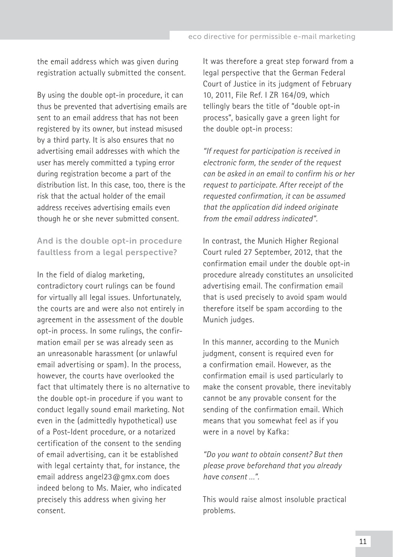the email address which was given during registration actually submitted the consent.

By using the double opt-in procedure, it can thus be prevented that advertising emails are sent to an email address that has not been registered by its owner, but instead misused by a third party. It is also ensures that no advertising email addresses with which the user has merely committed a typing error during registration become a part of the distribution list. In this case, too, there is the risk that the actual holder of the email address receives advertising emails even though he or she never submitted consent.

## And is the double opt-in procedure faultless from a legal perspective?

In the field of dialog marketing, contradictory court rulings can be found for virtually all legal issues. Unfortunately, the courts are and were also not entirely in agreement in the assessment of the double opt-in process. In some rulings, the confirmation email per se was already seen as an unreasonable harassment (or unlawful email advertising or spam). In the process, however, the courts have overlooked the fact that ultimately there is no alternative to the double opt-in procedure if you want to conduct legally sound email marketing. Not even in the (admittedly hypothetical) use of a Post-Ident procedure, or a notarized certification of the consent to the sending of email advertising, can it be established with legal certainty that, for instance, the email address angel23@gmx.com does indeed belong to Ms. Maier, who indicated precisely this address when giving her consent.

It was therefore a great step forward from a legal perspective that the German Federal Court of Justice in its judgment of February 10, 2011, File Ref. I ZR 164/09, which tellingly bears the title of "double opt-in process", basically gave a green light for the double opt-in process:

*"If request for participation is received in electronic form, the sender of the request can be asked in an email to confirm his or her request to participate. After receipt of the requested confirmation, it can be assumed that the application did indeed originate from the email address indicated".*

In contrast, the Munich Higher Regional Court ruled 27 September, 2012, that the confirmation email under the double opt-in procedure already constitutes an unsolicited advertising email. The confirmation email that is used precisely to avoid spam would therefore itself be spam according to the Munich judges.

In this manner, according to the Munich judgment, consent is required even for a confirmation email. However, as the confirmation email is used particularly to make the consent provable, there inevitably cannot be any provable consent for the sending of the confirmation email. Which means that you somewhat feel as if you were in a novel by Kafka:

*"Do you want to obtain consent? But then please prove beforehand that you already have consent …".*

This would raise almost insoluble practical problems.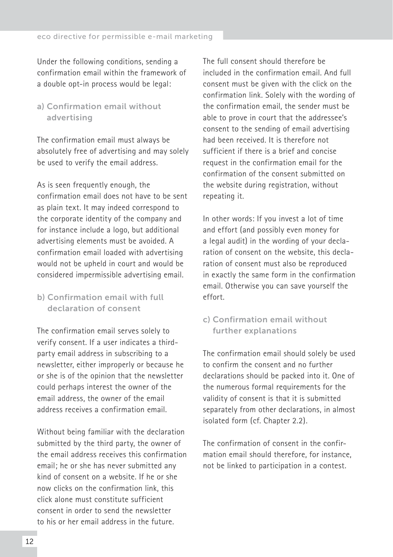Under the following conditions, sending a confirmation email within the framework of a double opt-in process would be legal:

## a) Confirmation email without advertising

The confirmation email must always be absolutely free of advertising and may solely be used to verify the email address.

As is seen frequently enough, the confirmation email does not have to be sent as plain text. It may indeed correspond to the corporate identity of the company and for instance include a logo, but additional advertising elements must be avoided. A confirmation email loaded with advertising would not be upheld in court and would be considered impermissible advertising email.

# b) Confirmation email with full declaration of consent

The confirmation email serves solely to verify consent. If a user indicates a thirdparty email address in subscribing to a newsletter, either improperly or because he or she is of the opinion that the newsletter could perhaps interest the owner of the email address, the owner of the email address receives a confirmation email.

Without being familiar with the declaration submitted by the third party, the owner of the email address receives this confirmation email; he or she has never submitted any kind of consent on a website. If he or she now clicks on the confirmation link, this click alone must constitute sufficient consent in order to send the newsletter to his or her email address in the future.

The full consent should therefore be included in the confirmation email. And full consent must be given with the click on the confirmation link. Solely with the wording of the confirmation email, the sender must be able to prove in court that the addressee's consent to the sending of email advertising had been received. It is therefore not sufficient if there is a brief and concise request in the confirmation email for the confirmation of the consent submitted on the website during registration, without repeating it.

In other words: If you invest a lot of time and effort (and possibly even money for a legal audit) in the wording of your declaration of consent on the website, this declaration of consent must also be reproduced in exactly the same form in the confirmation email. Otherwise you can save yourself the effort.

# c) Confirmation email without further explanations

The confirmation email should solely be used to confirm the consent and no further declarations should be packed into it. One of the numerous formal requirements for the validity of consent is that it is submitted separately from other declarations, in almost isolated form (cf. Chapter 2.2).

The confirmation of consent in the confirmation email should therefore, for instance, not be linked to participation in a contest.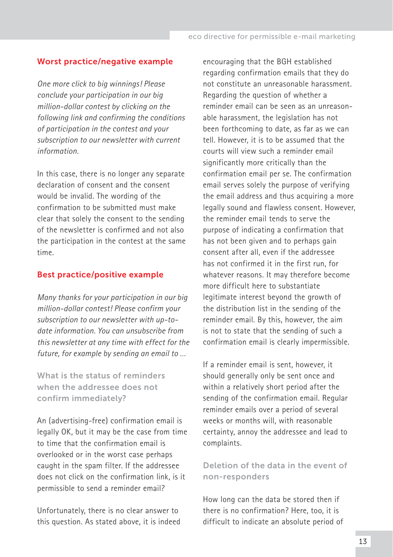#### Worst practice/negative example

*One more click to big winnings! Please conclude your participation in our big million-dollar contest by clicking on the following link and confirming the conditions of participation in the contest and your subscription to our newsletter with current information.*

In this case, there is no longer any separate declaration of consent and the consent would be invalid. The wording of the confirmation to be submitted must make clear that solely the consent to the sending of the newsletter is confirmed and not also the participation in the contest at the same time.

#### Best practice/positive example

*Many thanks for your participation in our big million-dollar contest! Please confirm your subscription to our newsletter with up-todate information. You can unsubscribe from this newsletter at any time with effect for the future, for example by sending an email to …*

What is the status of reminders when the addressee does not confirm immediately?

An (advertising-free) confirmation email is legally OK, but it may be the case from time to time that the confirmation email is overlooked or in the worst case perhaps caught in the spam filter. If the addressee does not click on the confirmation link, is it permissible to send a reminder email?

Unfortunately, there is no clear answer to this question. As stated above, it is indeed encouraging that the BGH established regarding confirmation emails that they do not constitute an unreasonable harassment. Regarding the question of whether a reminder email can be seen as an unreasonable harassment, the legislation has not been forthcoming to date, as far as we can tell. However, it is to be assumed that the courts will view such a reminder email significantly more critically than the confirmation email per se. The confirmation email serves solely the purpose of verifying the email address and thus acquiring a more legally sound and flawless consent. However, the reminder email tends to serve the purpose of indicating a confirmation that has not been given and to perhaps gain consent after all, even if the addressee has not confirmed it in the first run, for whatever reasons. It may therefore become more difficult here to substantiate legitimate interest beyond the growth of the distribution list in the sending of the reminder email. By this, however, the aim is not to state that the sending of such a confirmation email is clearly impermissible.

If a reminder email is sent, however, it should generally only be sent once and within a relatively short period after the sending of the confirmation email. Regular reminder emails over a period of several weeks or months will, with reasonable certainty, annoy the addressee and lead to complaints.

# Deletion of the data in the event of non-responders

How long can the data be stored then if there is no confirmation? Here, too, it is difficult to indicate an absolute period of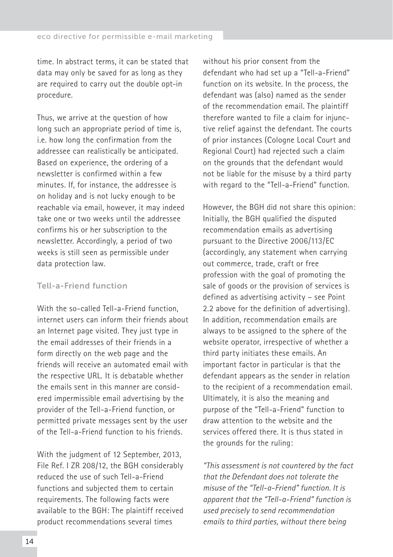time. In abstract terms, it can be stated that data may only be saved for as long as they are required to carry out the double opt-in procedure.

Thus, we arrive at the question of how long such an appropriate period of time is, i.e. how long the confirmation from the addressee can realistically be anticipated. Based on experience, the ordering of a newsletter is confirmed within a few minutes. If, for instance, the addressee is on holiday and is not lucky enough to be reachable via email, however, it may indeed take one or two weeks until the addressee confirms his or her subscription to the newsletter. Accordingly, a period of two weeks is still seen as permissible under data protection law.

#### Tell-a-Friend function

With the so-called Tell-a-Friend function internet users can inform their friends about an Internet page visited. They just type in the email addresses of their friends in a form directly on the web page and the friends will receive an automated email with the respective URL. It is debatable whether the emails sent in this manner are considered impermissible email advertising by the provider of the Tell-a-Friend function, or permitted private messages sent by the user of the Tell-a-Friend function to his friends.

With the judgment of 12 September, 2013, File Ref. I ZR 208/12, the BGH considerably reduced the use of such Tell-a-Friend functions and subjected them to certain requirements. The following facts were available to the BGH: The plaintiff received product recommendations several times

without his prior consent from the defendant who had set up a "Tell-a-Friend" function on its website. In the process, the defendant was (also) named as the sender of the recommendation email. The plaintiff therefore wanted to file a claim for injunctive relief against the defendant. The courts of prior instances (Cologne Local Court and Regional Court) had rejected such a claim on the grounds that the defendant would not be liable for the misuse by a third party with regard to the "Tell-a-Friend" function.

However, the BGH did not share this opinion: Initially, the BGH qualified the disputed recommendation emails as advertising pursuant to the Directive 2006/113/EC (accordingly, any statement when carrying out commerce, trade, craft or free profession with the goal of promoting the sale of goods or the provision of services is defined as advertising activity – see Point 2.2 above for the definition of advertising). In addition, recommendation emails are always to be assigned to the sphere of the website operator, irrespective of whether a third party initiates these emails. An important factor in particular is that the defendant appears as the sender in relation to the recipient of a recommendation email. Ultimately, it is also the meaning and purpose of the "Tell-a-Friend" function to draw attention to the website and the services offered there. It is thus stated in the grounds for the ruling:

*"This assessment is not countered by the fact that the Defendant does not tolerate the misuse of the "Tell-a-Friend" function. It is apparent that the "Tell-a-Friend" function is used precisely to send recommendation emails to third parties, without there being*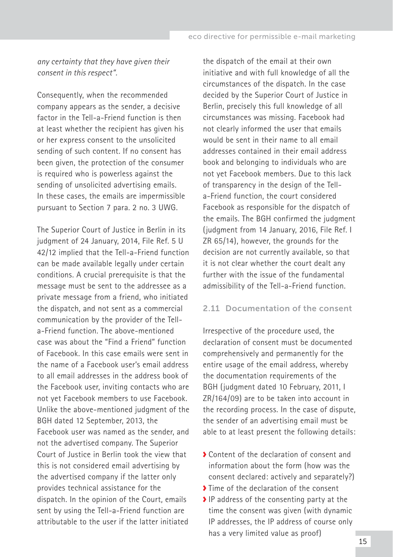<span id="page-14-0"></span>*any certainty that they have given their consent in this respect".* 

Consequently, when the recommended company appears as the sender, a decisive factor in the Tell-a-Friend function is then at least whether the recipient has given his or her express consent to the unsolicited sending of such content. If no consent has been given, the protection of the consumer is required who is powerless against the sending of unsolicited advertising emails. In these cases, the emails are impermissible pursuant to Section 7 para. 2 no. 3 UWG.

The Superior Court of Justice in Berlin in its judgment of 24 January, 2014, File Ref. 5 U 42/12 implied that the Tell-a-Friend function can be made available legally under certain conditions. A crucial prerequisite is that the message must be sent to the addressee as a private message from a friend, who initiated the dispatch, and not sent as a commercial communication by the provider of the Tella-Friend function. The above-mentioned case was about the "Find a Friend" function of Facebook. In this case emails were sent in the name of a Facebook user's email address to all email addresses in the address book of the Facebook user, inviting contacts who are not yet Facebook members to use Facebook. Unlike the above-mentioned judgment of the BGH dated 12 September, 2013, the Facebook user was named as the sender, and not the advertised company. The Superior Court of Justice in Berlin took the view that this is not considered email advertising by the advertised company if the latter only provides technical assistance for the dispatch. In the opinion of the Court, emails sent by using the Tell-a-Friend function are attributable to the user if the latter initiated

the dispatch of the email at their own initiative and with full knowledge of all the circumstances of the dispatch. In the case decided by the Superior Court of Justice in Berlin, precisely this full knowledge of all circumstances was missing. Facebook had not clearly informed the user that emails would be sent in their name to all email addresses contained in their email address book and belonging to individuals who are not yet Facebook members. Due to this lack of transparency in the design of the Tella-Friend function, the court considered Facebook as responsible for the dispatch of the emails. The BGH confirmed the judgment (judgment from 14 January, 2016, File Ref. I ZR 65/14), however, the grounds for the decision are not currently available, so that it is not clear whether the court dealt any further with the issue of the fundamental admissibility of the Tell-a-Friend function.

#### 2.11 Documentation of the consent

Irrespective of the procedure used, the declaration of consent must be documented comprehensively and permanently for the entire usage of the email address, whereby the documentation requirements of the BGH (judgment dated 10 February, 2011, I ZR/164/09) are to be taken into account in the recording process. In the case of dispute, the sender of an advertising email must be able to at least present the following details:

- Content of the declaration of consent and information about the form (how was the consent declared: actively and separately?)
- Time of the declaration of the consent
- IP address of the consenting party at the time the consent was given (with dynamic IP addresses, the IP address of course only has a very limited value as proof)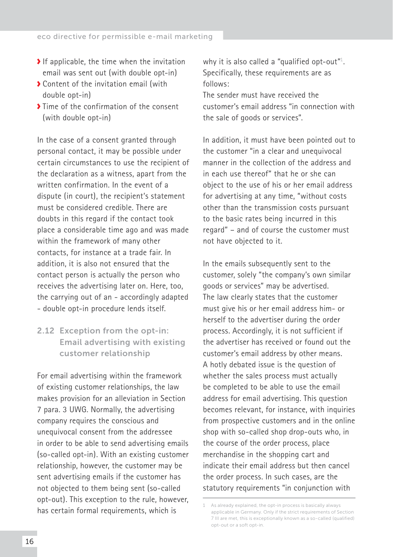- <span id="page-15-0"></span> $\blacktriangleright$  If applicable, the time when the invitation email was sent out (with double opt-in)
- Content of the invitation email (with double opt-in)
- If  $\sum$  Time of the confirmation of the consent (with double opt-in)

In the case of a consent granted through personal contact, it may be possible under certain circumstances to use the recipient of the declaration as a witness, apart from the written confirmation. In the event of a dispute (in court), the recipient's statement must be considered credible. There are doubts in this regard if the contact took place a considerable time ago and was made within the framework of many other contacts, for instance at a trade fair. In addition, it is also not ensured that the contact person is actually the person who receives the advertising later on. Here, too, the carrying out of an - accordingly adapted - double opt-in procedure lends itself.

# 2.12 Exception from the opt-in: Email advertising with existing customer relationship

For email advertising within the framework of existing customer relationships, the law makes provision for an alleviation in Section 7 para. 3 UWG. Normally, the advertising company requires the conscious and unequivocal consent from the addressee in order to be able to send advertising emails (so-called opt-in). With an existing customer relationship, however, the customer may be sent advertising emails if the customer has not objected to them being sent (so-called opt-out). This exception to the rule, however, has certain formal requirements, which is

why it is also called a "qualified opt-out"<sup>1</sup>. Specifically, these requirements are as follows:

The sender must have received the customer's email address "in connection with the sale of goods or services".

In addition, it must have been pointed out to the customer "in a clear and unequivocal manner in the collection of the address and in each use thereof" that he or she can object to the use of his or her email address for advertising at any time, "without costs other than the transmission costs pursuant to the basic rates being incurred in this regard" – and of course the customer must not have objected to it.

In the emails subsequently sent to the customer, solely "the company's own similar goods or services" may be advertised. The law clearly states that the customer must give his or her email address him- or herself to the advertiser during the order process. Accordingly, it is not sufficient if the advertiser has received or found out the customer's email address by other means. A hotly debated issue is the question of whether the sales process must actually be completed to be able to use the email address for email advertising. This question becomes relevant, for instance, with inquiries from prospective customers and in the online shop with so-called shop drop-outs who, in the course of the order process, place merchandise in the shopping cart and indicate their email address but then cancel the order process. In such cases, are the statutory requirements "in conjunction with

<sup>1</sup> As already explained, the opt-in process is basically always applicable in Germany. Only if the strict requirements of Section 7 III are met, this is exceptionally known as a so-called (qualified) opt-out or a soft opt-in.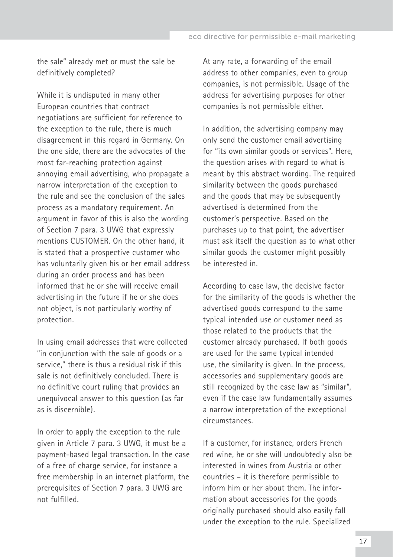the sale" already met or must the sale be definitively completed?

While it is undisputed in many other European countries that contract negotiations are sufficient for reference to the exception to the rule, there is much disagreement in this regard in Germany. On the one side, there are the advocates of the most far-reaching protection against annoying email advertising, who propagate a narrow interpretation of the exception to the rule and see the conclusion of the sales process as a mandatory requirement. An argument in favor of this is also the wording of Section 7 para. 3 UWG that expressly mentions CUSTOMER. On the other hand, it is stated that a prospective customer who has voluntarily given his or her email address during an order process and has been informed that he or she will receive email advertising in the future if he or she does not object, is not particularly worthy of protection.

In using email addresses that were collected "in conjunction with the sale of goods or a service," there is thus a residual risk if this sale is not definitively concluded. There is no definitive court ruling that provides an unequivocal answer to this question (as far as is discernible).

In order to apply the exception to the rule given in Article 7 para. 3 UWG, it must be a payment-based legal transaction. In the case of a free of charge service, for instance a free membership in an internet platform, the prerequisites of Section 7 para. 3 UWG are not fulfilled.

At any rate, a forwarding of the email address to other companies, even to group companies, is not permissible. Usage of the address for advertising purposes for other companies is not permissible either.

In addition, the advertising company may only send the customer email advertising for "its own similar goods or services". Here, the question arises with regard to what is meant by this abstract wording. The required similarity between the goods purchased and the goods that may be subsequently advertised is determined from the customer's perspective. Based on the purchases up to that point, the advertiser must ask itself the question as to what other similar goods the customer might possibly be interested in.

According to case law, the decisive factor for the similarity of the goods is whether the advertised goods correspond to the same typical intended use or customer need as those related to the products that the customer already purchased. If both goods are used for the same typical intended use, the similarity is given. In the process, accessories and supplementary goods are still recognized by the case law as "similar", even if the case law fundamentally assumes a narrow interpretation of the exceptional circumstances.

If a customer, for instance, orders French red wine, he or she will undoubtedly also be interested in wines from Austria or other countries – it is therefore permissible to inform him or her about them. The information about accessories for the goods originally purchased should also easily fall under the exception to the rule. Specialized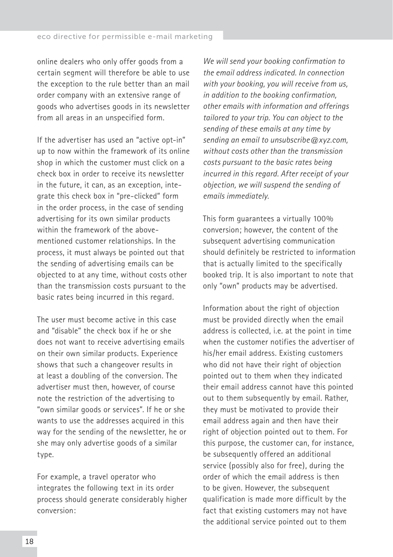online dealers who only offer goods from a certain segment will therefore be able to use the exception to the rule better than an mail order company with an extensive range of goods who advertises goods in its newsletter from all areas in an unspecified form.

If the advertiser has used an "active opt-in" up to now within the framework of its online shop in which the customer must click on a check box in order to receive its newsletter in the future, it can, as an exception, integrate this check box in "pre-clicked" form in the order process, in the case of sending advertising for its own similar products within the framework of the abovementioned customer relationships. In the process, it must always be pointed out that the sending of advertising emails can be objected to at any time, without costs other than the transmission costs pursuant to the basic rates being incurred in this regard.

The user must become active in this case and "disable" the check box if he or she does not want to receive advertising emails on their own similar products. Experience shows that such a changeover results in at least a doubling of the conversion. The advertiser must then, however, of course note the restriction of the advertising to "own similar goods or services". If he or she wants to use the addresses acquired in this way for the sending of the newsletter, he or she may only advertise goods of a similar type.

For example, a travel operator who integrates the following text in its order process should generate considerably higher conversion:

*We will send your booking confirmation to the email address indicated. In connection with your booking, you will receive from us, in addition to the booking confirmation, other emails with information and offerings tailored to your trip. You can object to the sending of these emails at any time by sending an email to unsubscribe@xyz.com, without costs other than the transmission costs pursuant to the basic rates being incurred in this regard. After receipt of your objection, we will suspend the sending of emails immediately.*

This form guarantees a virtually 100% conversion; however, the content of the subsequent advertising communication should definitely be restricted to information that is actually limited to the specifically booked trip. It is also important to note that only "own" products may be advertised.

Information about the right of objection must be provided directly when the email address is collected, i.e. at the point in time when the customer notifies the advertiser of his/her email address. Existing customers who did not have their right of objection pointed out to them when they indicated their email address cannot have this pointed out to them subsequently by email. Rather, they must be motivated to provide their email address again and then have their right of objection pointed out to them. For this purpose, the customer can, for instance, be subsequently offered an additional service (possibly also for free), during the order of which the email address is then to be given. However, the subsequent qualification is made more difficult by the fact that existing customers may not have the additional service pointed out to them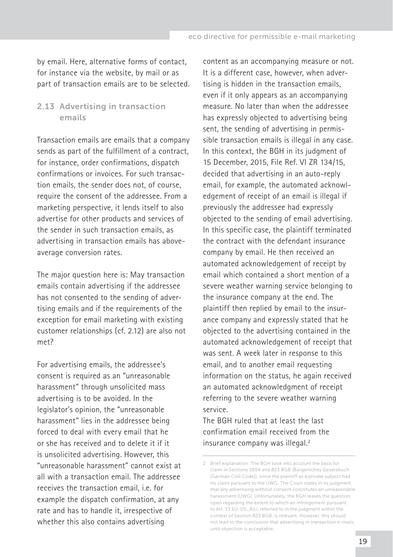<span id="page-18-0"></span>by email. Here, alternative forms of contact, for instance via the website, by mail or as part of transaction emails are to be selected.

## 2.13 Advertising in transaction emails

Transaction emails are emails that a company sends as part of the fulfillment of a contract, for instance, order confirmations, dispatch confirmations or invoices. For such transaction emails, the sender does not, of course, require the consent of the addressee. From a marketing perspective, it lends itself to also advertise for other products and services of the sender in such transaction emails, as advertising in transaction emails has aboveaverage conversion rates.

The major question here is: May transaction emails contain advertising if the addressee has not consented to the sending of advertising emails and if the requirements of the exception for email marketing with existing customer relationships (cf. 2.12) are also not met?

For advertising emails, the addressee's consent is required as an "unreasonable harassment" through unsolicited mass advertising is to be avoided. In the legislator's opinion, the "unreasonable harassment" lies in the addressee being forced to deal with every email that he or she has received and to delete it if it is unsolicited advertising. However, this "unreasonable harassment" cannot exist at all with a transaction email. The addressee receives the transaction email, i.e. for example the dispatch confirmation, at any rate and has to handle it, irrespective of whether this also contains advertising

content as an accompanying measure or not. It is a different case, however, when advertising is hidden in the transaction emails, even if it only appears as an accompanying measure. No later than when the addressee has expressly objected to advertising being sent, the sending of advertising in permissible transaction emails is illegal in any case. In this context, the BGH in its judgment of 15 December, 2015, File Ref. VI ZR 134/15, decided that advertising in an auto-reply email, for example, the automated acknowledgement of receipt of an email is illegal if previously the addressee had expressly objected to the sending of email advertising. In this specific case, the plaintiff terminated the contract with the defendant insurance company by email. He then received an automated acknowledgement of receipt by email which contained a short mention of a severe weather warning service belonging to the insurance company at the end. The plaintiff then replied by email to the insurance company and expressly stated that he objected to the advertising contained in the automated acknowledgement of receipt that was sent. A week later in response to this email, and to another email requesting information on the status, he again received an automated acknowledgment of receipt referring to the severe weather warning service.

The BGH ruled that at least the last confirmation email received from the insurance company was illegal.2

<sup>2</sup> Brief explanation: The BGH took into account the basis for claim in Sections 1004 and 823 BGB (Bürgerliches Gesetzbuch [German Civil Code]), since the plaintiff as a private subject had no claim pursuant to the UWG. The Court states in its judgment that any advertising without consent constitutes an unreasonable harassment (UWG). Unfortunately, the BGH leaves the question open regarding the extent to which an infringement pursuant to Art. 13 EU-DS\_RiLi, referred to in the judgment within the context of Section 823 BGB, is relevant. However, this should not lead to the conclusion that advertising in transaction e-mails until objection is acceptable.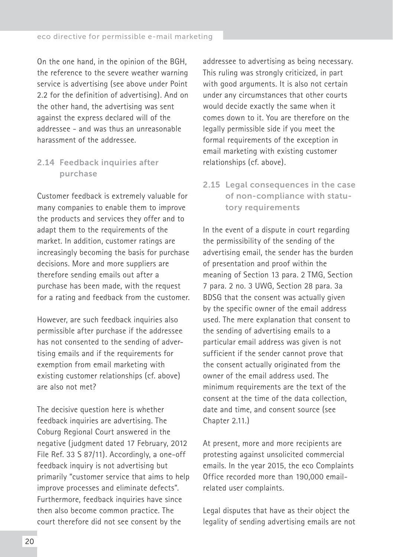<span id="page-19-0"></span>On the one hand, in the opinion of the BGH, the reference to the severe weather warning service is advertising (see above under Point 2.2 for the definition of advertising). And on the other hand, the advertising was sent against the express declared will of the addressee - and was thus an unreasonable harassment of the addressee.

## 2.14 Feedback inquiries after purchase

Customer feedback is extremely valuable for many companies to enable them to improve the products and services they offer and to adapt them to the requirements of the market. In addition, customer ratings are increasingly becoming the basis for purchase decisions. More and more suppliers are therefore sending emails out after a purchase has been made, with the request for a rating and feedback from the customer.

However, are such feedback inquiries also permissible after purchase if the addressee has not consented to the sending of advertising emails and if the requirements for exemption from email marketing with existing customer relationships (cf. above) are also not met?

The decisive question here is whether feedback inquiries are advertising. The Coburg Regional Court answered in the negative (judgment dated 17 February, 2012 File Ref. 33 S 87/11). Accordingly, a one-off feedback inquiry is not advertising but primarily "customer service that aims to help improve processes and eliminate defects". Furthermore, feedback inquiries have since then also become common practice. The court therefore did not see consent by the

addressee to advertising as being necessary. This ruling was strongly criticized, in part with good arguments. It is also not certain under any circumstances that other courts would decide exactly the same when it comes down to it. You are therefore on the legally permissible side if you meet the formal requirements of the exception in email marketing with existing customer relationships (cf. above).

2.15 Legal consequences in the case of non-compliance with statutory requirements

In the event of a dispute in court regarding the permissibility of the sending of the advertising email, the sender has the burden of presentation and proof within the meaning of Section 13 para. 2 TMG, Section 7 para. 2 no. 3 UWG, Section 28 para. 3a BDSG that the consent was actually given by the specific owner of the email address used. The mere explanation that consent to the sending of advertising emails to a particular email address was given is not sufficient if the sender cannot prove that the consent actually originated from the owner of the email address used. The minimum requirements are the text of the consent at the time of the data collection, date and time, and consent source (see Chapter 2.11.)

At present, more and more recipients are protesting against unsolicited commercial emails. In the year 2015, the eco Complaints Office recorded more than 190,000 emailrelated user complaints.

Legal disputes that have as their object the legality of sending advertising emails are not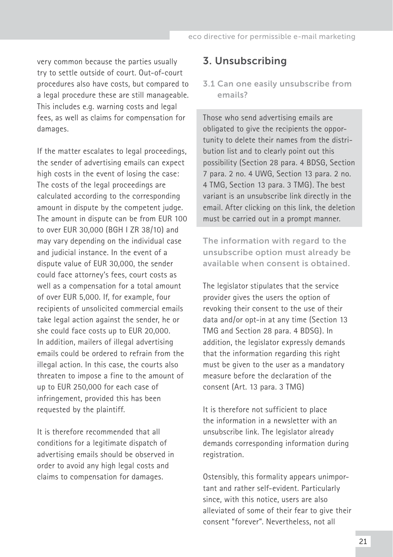<span id="page-20-0"></span>very common because the parties usually try to settle outside of court. Out-of-court procedures also have costs, but compared to a legal procedure these are still manageable. This includes e.g. warning costs and legal fees, as well as claims for compensation for damages.

If the matter escalates to legal proceedings, the sender of advertising emails can expect high costs in the event of losing the case: The costs of the legal proceedings are calculated according to the corresponding amount in dispute by the competent judge. The amount in dispute can be from EUR 100 to over EUR 30,000 (BGH I ZR 38/10) and may vary depending on the individual case and judicial instance. In the event of a dispute value of EUR 30,000, the sender could face attorney's fees, court costs as well as a compensation for a total amount of over EUR 5,000. If, for example, four recipients of unsolicited commercial emails take legal action against the sender, he or she could face costs up to EUR 20,000. In addition, mailers of illegal advertising emails could be ordered to refrain from the illegal action. In this case, the courts also threaten to impose a fine to the amount of up to EUR 250,000 for each case of infringement, provided this has been requested by the plaintiff.

It is therefore recommended that all conditions for a legitimate dispatch of advertising emails should be observed in order to avoid any high legal costs and claims to compensation for damages.

# 3. Unsubscribing

#### 3.1 Can one easily unsubscribe from emails?

Those who send advertising emails are obligated to give the recipients the opportunity to delete their names from the distribution list and to clearly point out this possibility (Section 28 para. 4 BDSG, Section 7 para. 2 no. 4 UWG, Section 13 para. 2 no. 4 TMG, Section 13 para. 3 TMG). The best variant is an unsubscribe link directly in the email. After clicking on this link, the deletion must be carried out in a prompt manner.

The information with regard to the unsubscribe option must already be available when consent is obtained.

The legislator stipulates that the service provider gives the users the option of revoking their consent to the use of their data and/or opt-in at any time (Section 13 TMG and Section 28 para. 4 BDSG). In addition, the legislator expressly demands that the information regarding this right must be given to the user as a mandatory measure before the declaration of the consent (Art. 13 para. 3 TMG)

It is therefore not sufficient to place the information in a newsletter with an unsubscribe link. The legislator already demands corresponding information during registration.

Ostensibly, this formality appears unimportant and rather self-evident. Particularly since, with this notice, users are also alleviated of some of their fear to give their consent "forever". Nevertheless, not all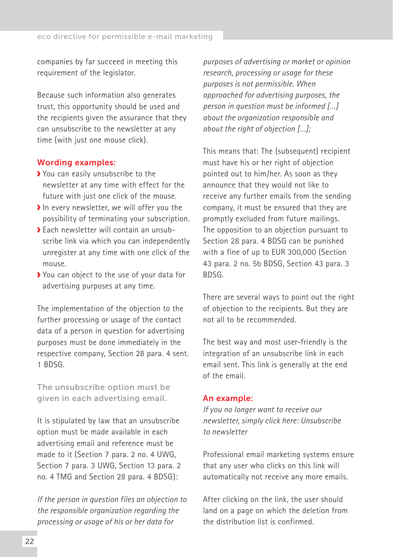companies by far succeed in meeting this requirement of the legislator.

Because such information also generates trust, this opportunity should be used and the recipients given the assurance that they can unsubscribe to the newsletter at any time (with just one mouse click).

#### Wording examples:

- You can easily unsubscribe to the newsletter at any time with effect for the future with just one click of the mouse.
- In every newsletter, we will offer you the possibility of terminating your subscription.
- Each newsletter will contain an unsubscribe link via which you can independently unregister at any time with one click of the mouse.
- You can object to the use of your data for advertising purposes at any time.

The implementation of the objection to the further processing or usage of the contact data of a person in question for advertising purposes must be done immediately in the respective company, Section 28 para. 4 sent. 1 BDSG.

The unsubscribe option must be given in each advertising email.

It is stipulated by law that an unsubscribe option must be made available in each advertising email and reference must be made to it (Section 7 para. 2 no. 4 UWG, Section 7 para. 3 UWG, Section 13 para. 2 no. 4 TMG and Section 28 para. 4 BDSG):

*If the person in question files an objection to the responsible organization regarding the processing or usage of his or her data for* 

*purposes of advertising or market or opinion research, processing or usage for these purposes is not permissible. When approached for advertising purposes, the person in question must be informed […] about the organization responsible and about the right of objection […];*

This means that: The (subsequent) recipient must have his or her right of objection pointed out to him/her. As soon as they announce that they would not like to receive any further emails from the sending company, it must be ensured that they are promptly excluded from future mailings. The opposition to an objection pursuant to Section 28 para. 4 BDSG can be punished with a fine of up to EUR 300,000 (Section 43 para. 2 no. 5b BDSG, Section 43 para. 3 BDSG.

There are several ways to point out the right of objection to the recipients. But they are not all to be recommended.

The best way and most user-friendly is the integration of an unsubscribe link in each email sent. This link is generally at the end of the email.

#### An example:

*If you no longer want to receive our newsletter, simply click here: Unsubscribe to newsletter*

Professional email marketing systems ensure that any user who clicks on this link will automatically not receive any more emails.

After clicking on the link, the user should land on a page on which the deletion from the distribution list is confirmed.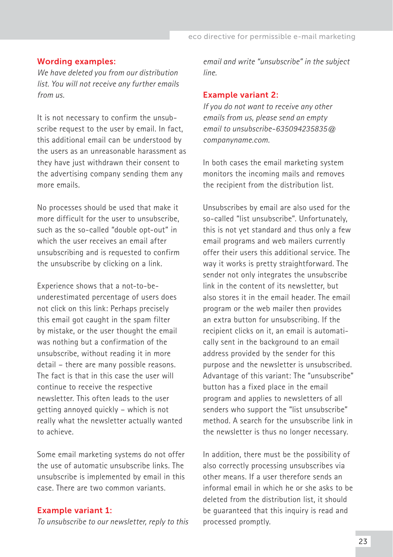#### Wording examples:

*We have deleted you from our distribution list. You will not receive any further emails from us.*

It is not necessary to confirm the unsubscribe request to the user by email. In fact, this additional email can be understood by the users as an unreasonable harassment as they have just withdrawn their consent to the advertising company sending them any more emails.

No processes should be used that make it more difficult for the user to unsubscribe, such as the so-called "double opt-out" in which the user receives an email after unsubscribing and is requested to confirm the unsubscribe by clicking on a link.

Experience shows that a not-to-beunderestimated percentage of users does not click on this link: Perhaps precisely this email got caught in the spam filter by mistake, or the user thought the email was nothing but a confirmation of the unsubscribe, without reading it in more detail – there are many possible reasons. The fact is that in this case the user will continue to receive the respective newsletter. This often leads to the user getting annoyed quickly – which is not really what the newsletter actually wanted to achieve.

Some email marketing systems do not offer the use of automatic unsubscribe links. The unsubscribe is implemented by email in this case. There are two common variants.

#### Example variant 1:

*To unsubscribe to our newsletter, reply to this* 

*email and write "unsubscribe" in the subject line.*

#### Example variant 2:

*If you do not want to receive any other emails from us, please send an empty email to unsubscribe-635094235835@ companyname.com.*

In both cases the email marketing system monitors the incoming mails and removes the recipient from the distribution list.

Unsubscribes by email are also used for the so-called "list unsubscribe". Unfortunately, this is not yet standard and thus only a few email programs and web mailers currently offer their users this additional service. The way it works is pretty straightforward. The sender not only integrates the unsubscribe link in the content of its newsletter, but also stores it in the email header. The email program or the web mailer then provides an extra button for unsubscribing. If the recipient clicks on it, an email is automatically sent in the background to an email address provided by the sender for this purpose and the newsletter is unsubscribed. Advantage of this variant: The "unsubscribe" button has a fixed place in the email program and applies to newsletters of all senders who support the "list unsubscribe" method. A search for the unsubscribe link in the newsletter is thus no longer necessary.

In addition, there must be the possibility of also correctly processing unsubscribes via other means. If a user therefore sends an informal email in which he or she asks to be deleted from the distribution list, it should be guaranteed that this inquiry is read and processed promptly.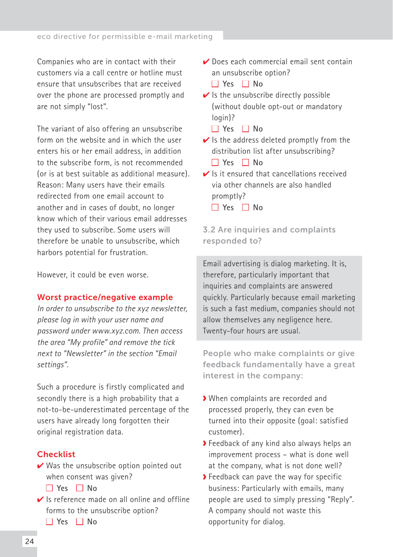<span id="page-23-0"></span>Companies who are in contact with their customers via a call centre or hotline must ensure that unsubscribes that are received over the phone are processed promptly and are not simply "lost".

The variant of also offering an unsubscribe form on the website and in which the user enters his or her email address, in addition to the subscribe form, is not recommended (or is at best suitable as additional measure). Reason: Many users have their emails redirected from one email account to another and in cases of doubt, no longer know which of their various email addresses they used to subscribe. Some users will therefore be unable to unsubscribe, which harbors potential for frustration.

However, it could be even worse.

#### Worst practice/negative example

*In order to unsubscribe to the xyz newsletter, please log in with your user name and password under www.xyz.com. Then access the area "My profile" and remove the tick next to "Newsletter" in the section "Email settings".*

Such a procedure is firstly complicated and secondly there is a high probability that a not-to-be-underestimated percentage of the users have already long forgotten their original registration data.

#### **Checklist**

- $\vee$  Was the unsubscribe option pointed out when consent was given?
	- **Yes No**
- $\vee$  Is reference made on all online and offline forms to the unsubscribe option?

■ **Yes** ■ **No**

- ✔ Does each commercial email sent contain an unsubscribe option?
	- **Yes No**
- $\vee$  Is the unsubscribe directly possible (without double opt-out or mandatory login)?
	- **Yes No**
- $\vee$  Is the address deleted promptly from the distribution list after unsubscribing? ■ **Yes** ■ **No**
- $\vee$  Is it ensured that cancellations received via other channels are also handled promptly?
	- **Yes No**

3.2 Are inquiries and complaints responded to?

Email advertising is dialog marketing. It is, therefore, particularly important that inquiries and complaints are answered quickly. Particularly because email marketing is such a fast medium, companies should not allow themselves any negligence here. Twenty-four hours are usual.

People who make complaints or give feedback fundamentally have a great interest in the company:

- When complaints are recorded and processed properly, they can even be turned into their opposite (goal: satisfied customer).
- Feedback of any kind also always helps an improvement process – what is done well at the company, what is not done well?
- ◆ Feedback can pave the way for specific business: Particularly with emails, many people are used to simply pressing "Reply". A company should not waste this opportunity for dialog.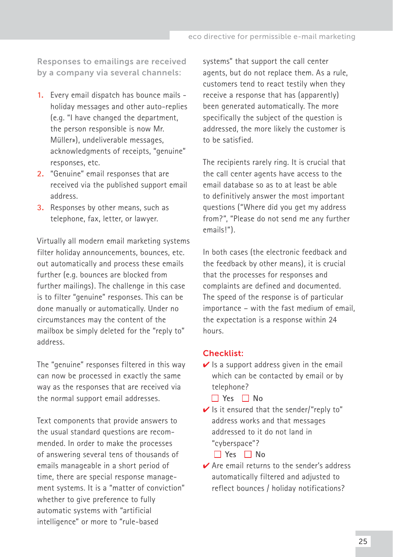Responses to emailings are received by a company via several channels:

- **1.** Every email dispatch has bounce mails holiday messages and other auto-replies (e.g. "I have changed the department, the person responsible is now Mr. Müller»), undeliverable messages, acknowledgments of receipts, "genuine" responses, etc.
- **2.** "Genuine" email responses that are received via the published support email address.
- **3.** Responses by other means, such as telephone, fax, letter, or lawyer.

Virtually all modern email marketing systems filter holiday announcements, bounces, etc. out automatically and process these emails further (e.g. bounces are blocked from further mailings). The challenge in this case is to filter "genuine" responses. This can be done manually or automatically. Under no circumstances may the content of the mailbox be simply deleted for the "reply to" address.

The "genuine" responses filtered in this way can now be processed in exactly the same way as the responses that are received via the normal support email addresses.

Text components that provide answers to the usual standard questions are recommended. In order to make the processes of answering several tens of thousands of emails manageable in a short period of time, there are special response management systems. It is a "matter of conviction" whether to give preference to fully automatic systems with "artificial intelligence" or more to "rule-based

systems" that support the call center agents, but do not replace them. As a rule, customers tend to react testily when they receive a response that has (apparently) been generated automatically. The more specifically the subject of the question is addressed, the more likely the customer is to be satisfied.

The recipients rarely ring. It is crucial that the call center agents have access to the email database so as to at least be able to definitively answer the most important questions ("Where did you get my address from?", "Please do not send me any further emails!").

In both cases (the electronic feedback and the feedback by other means), it is crucial that the processes for responses and complaints are defined and documented. The speed of the response is of particular importance – with the fast medium of email, the expectation is a response within 24 hours.

## Checklist:

- $\vee$  Is a support address given in the email which can be contacted by email or by telephone?
	- **Yes No**
- $\vee$  Is it ensured that the sender/"reply to" address works and that messages addressed to it do not land in "cyberspace"?

■ **Yes** ■ **No**

**✓ Are email returns to the sender's address** automatically filtered and adjusted to reflect bounces / holiday notifications?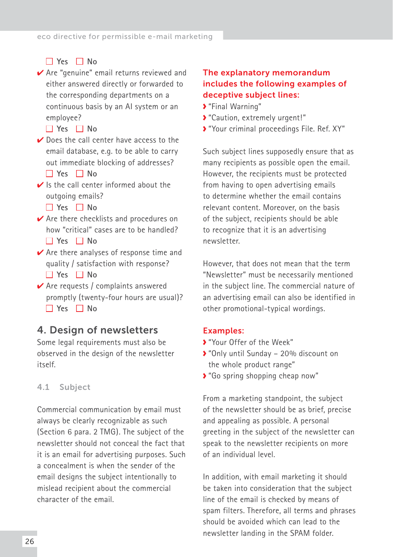# <span id="page-25-0"></span>■ **Yes** ■ **No**

✔ Are "genuine" email returns reviewed and either answered directly or forwarded to the corresponding departments on a continuous basis by an AI system or an employee?

#### ■ **Yes** ■ **No**

- $\vee$  Does the call center have access to the email database, e.g. to be able to carry out immediate blocking of addresses? ■ **Yes** ■ **No**
- $\vee$  Is the call center informed about the outgoing emails?
	- **Yes No**
- ✔ Are there checklists and procedures on how "critical" cases are to be handled? ■ **Yes** ■ **No**
- $\vee$  Are there analyses of response time and quality / satisfaction with response? ■ **Yes** ■ **No**
- $\vee$  Are requests / complaints answered promptly (twenty-four hours are usual)? ■ **Yes** ■ **No**

# 4. Design of newsletters

Some legal requirements must also be observed in the design of the newsletter itself.

#### 4.1 Subject

Commercial communication by email must always be clearly recognizable as such (Section 6 para. 2 TMG). The subject of the newsletter should not conceal the fact that it is an email for advertising purposes. Such a concealment is when the sender of the email designs the subject intentionally to mislead recipient about the commercial character of the email.

## The explanatory memorandum includes the following examples of deceptive subject lines:

- "Final Warning"
- "Caution, extremely urgent!"
- "Your criminal proceedings File. Ref. XY"

Such subject lines supposedly ensure that as many recipients as possible open the email. However, the recipients must be protected from having to open advertising emails to determine whether the email contains relevant content. Moreover, on the basis of the subject, recipients should be able to recognize that it is an advertising newsletter.

However, that does not mean that the term "Newsletter" must be necessarily mentioned in the subject line. The commercial nature of an advertising email can also be identified in other promotional-typical wordings.

#### Examples:

- "Your Offer of the Week"
- "Only until Sunday 20% discount on the whole product range"
- "Go spring shopping cheap now"

From a marketing standpoint, the subject of the newsletter should be as brief, precise and appealing as possible. A personal greeting in the subject of the newsletter can speak to the newsletter recipients on more of an individual level.

In addition, with email marketing it should be taken into consideration that the subject line of the email is checked by means of spam filters. Therefore, all terms and phrases should be avoided which can lead to the newsletter landing in the SPAM folder.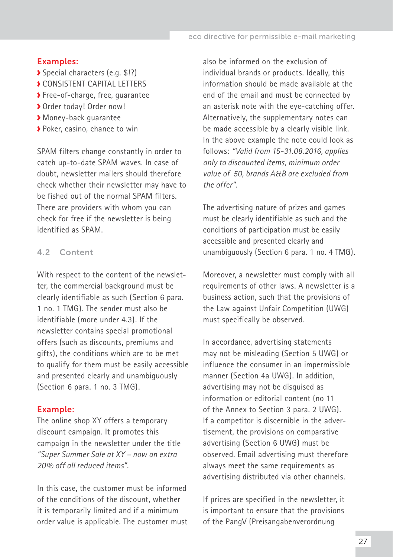#### <span id="page-26-0"></span>Examples:

- Special characters (e.g. \$!?)
- **CONSISTENT CAPITAL LETTERS**
- Free-of-charge, free, guarantee
- Order today! Order now!
- Money-back guarantee
- Poker, casino, chance to win

SPAM filters change constantly in order to catch up-to-date SPAM waves. In case of doubt, newsletter mailers should therefore check whether their newsletter may have to be fished out of the normal SPAM filters. There are providers with whom you can check for free if the newsletter is being identified as SPAM.

## 4.2 Content

With respect to the content of the newsletter, the commercial background must be clearly identifiable as such (Section 6 para. 1 no. 1 TMG). The sender must also be identifiable (more under 4.3). If the newsletter contains special promotional offers (such as discounts, premiums and gifts), the conditions which are to be met to qualify for them must be easily accessible and presented clearly and unambiguously (Section 6 para. 1 no. 3 TMG).

#### Example:

The online shop XY offers a temporary discount campaign. It promotes this campaign in the newsletter under the title *"Super Summer Sale at XY – now an extra 20% off all reduced items".* 

In this case, the customer must be informed of the conditions of the discount, whether it is temporarily limited and if a minimum order value is applicable. The customer must also be informed on the exclusion of individual brands or products. Ideally, this information should be made available at the end of the email and must be connected by an asterisk note with the eye-catching offer. Alternatively, the supplementary notes can be made accessible by a clearly visible link. In the above example the note could look as follows: *"Valid from 15-31.08.2016, applies only to discounted items, minimum order value of €50, brands A&B are excluded from the offer".*

The advertising nature of prizes and games must be clearly identifiable as such and the conditions of participation must be easily accessible and presented clearly and unambiguously (Section 6 para. 1 no. 4 TMG).

Moreover, a newsletter must comply with all requirements of other laws. A newsletter is a business action, such that the provisions of the Law against Unfair Competition (UWG) must specifically be observed.

In accordance, advertising statements may not be misleading (Section 5 UWG) or influence the consumer in an impermissible manner (Section 4a UWG). In addition, advertising may not be disguised as information or editorial content (no 11 of the Annex to Section 3 para. 2 UWG). If a competitor is discernible in the advertisement, the provisions on comparative advertising (Section 6 UWG) must be observed. Email advertising must therefore always meet the same requirements as advertising distributed via other channels.

If prices are specified in the newsletter, it is important to ensure that the provisions of the PangV (Preisangabenverordnung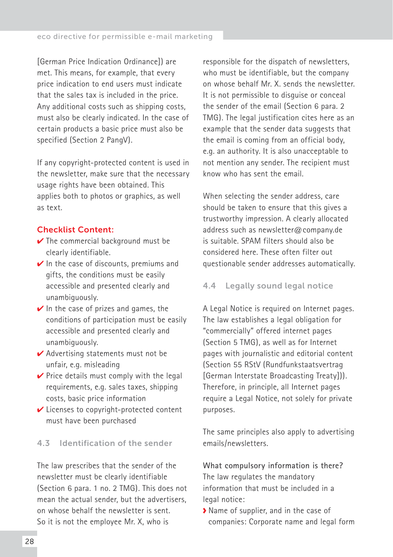<span id="page-27-0"></span>[German Price Indication Ordinance]) are met. This means, for example, that every price indication to end users must indicate that the sales tax is included in the price. Any additional costs such as shipping costs, must also be clearly indicated. In the case of certain products a basic price must also be specified (Section 2 PangV).

If any copyright-protected content is used in the newsletter, make sure that the necessary usage rights have been obtained. This applies both to photos or graphics, as well as text.

#### Checklist Content:

- $\vee$  The commercial background must be clearly identifiable.
- $\vee$  In the case of discounts, premiums and gifts, the conditions must be easily accessible and presented clearly and unambiguously.
- $\vee$  In the case of prizes and games, the conditions of participation must be easily accessible and presented clearly and unambiguously.
- $\vee$  Advertising statements must not be unfair, e.g. misleading
- $\vee$  Price details must comply with the legal requirements, e.g. sales taxes, shipping costs, basic price information
- ✔ Licenses to copyright-protected content must have been purchased

#### 4.3 Identification of the sender

The law prescribes that the sender of the newsletter must be clearly identifiable (Section 6 para. 1 no. 2 TMG). This does not mean the actual sender, but the advertisers, on whose behalf the newsletter is sent. So it is not the employee Mr. X, who is

responsible for the dispatch of newsletters, who must be identifiable, but the company on whose behalf Mr. X. sends the newsletter. It is not permissible to disguise or conceal the sender of the email (Section 6 para. 2 TMG). The legal justification cites here as an example that the sender data suggests that the email is coming from an official body, e.g. an authority. It is also unacceptable to not mention any sender. The recipient must know who has sent the email.

When selecting the sender address, care should be taken to ensure that this gives a trustworthy impression. A clearly allocated address such as [newsletter@company.de](mailto:newsletter@firma.de)  is suitable. SPAM filters should also be considered here. These often filter out questionable sender addresses automatically.

#### 4.4 Legally sound legal notice

A Legal Notice is required on Internet pages. The law establishes a legal obligation for "commercially" offered internet pages (Section 5 TMG), as well as for Internet pages with journalistic and editorial content (Section 55 RStV (Rundfunkstaatsvertrag [German Interstate Broadcasting Treaty])). Therefore, in principle, all Internet pages require a Legal Notice, not solely for private purposes.

The same principles also apply to advertising emails/newsletters.

**What compulsory information is there?** The law regulates the mandatory information that must be included in a legal notice:

Name of supplier, and in the case of companies: Corporate name and legal form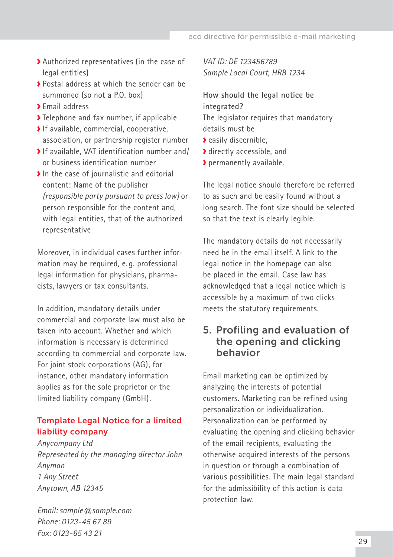- <span id="page-28-0"></span>Authorized representatives (in the case of legal entities)
- Postal address at which the sender can be summoned (so not a P.O. box)
- **>** Email address
- Telephone and fax number, if applicable
- If available, commercial, cooperative, association, or partnership register number
- If available, VAT identification number and/ or business identification number
- In the case of journalistic and editorial content: Name of the publishe[r](http://de.wikipedia.org/wiki/ViSdP)  *[\(responsible party pursuant to press law\)](http://de.wikipedia.org/wiki/ViSdP)* or person responsible for the content and, with legal entities, that of the authorized representative

Moreover, in individual cases further information may be required, e. g. professional legal information for physicians, pharmacists, lawyers or tax consultants.

In addition, mandatory details under commercial and corporate law must also be taken into account. Whether and which information is necessary is determined according to commercial and corporate law. For joint stock corporations (AG), for instance, other mandatory information applies as for the sole proprietor or the limited liability company (GmbH).

# Template Legal Notice for a limited liability company

*Anycompany Ltd Represented by the managing director John Anyman 1 Any Street Anytown, AB 12345* 

*Email: [sample@sample.com](mailto:muster@muster.de) Phone: 0123-45 67 89 Fax: 0123-65 43 21*

*VAT ID: DE 123456789 Sample Local Court, HRB 1234*

# **How should the legal notice be integrated?** The legislator requires that mandatory

- details must be
- **a** easily discernible.
- **S** directly accessible, and
- permanently available.

The legal notice should therefore be referred to as such and be easily found without a long search. The font size should be selected so that the text is clearly legible.

The mandatory details do not necessarily need be in the email itself. A link to the legal notice in the homepage can also be placed in the email. Case law has acknowledged that a legal notice which is accessible by a maximum of two clicks meets the statutory requirements.

# 5. Profiling and evaluation of the opening and clicking behavior

Email marketing can be optimized by analyzing the interests of potential customers. Marketing can be refined using personalization or individualization. Personalization can be performed by evaluating the opening and clicking behavior of the email recipients, evaluating the otherwise acquired interests of the persons in question or through a combination of various possibilities. The main legal standard for the admissibility of this action is data protection law.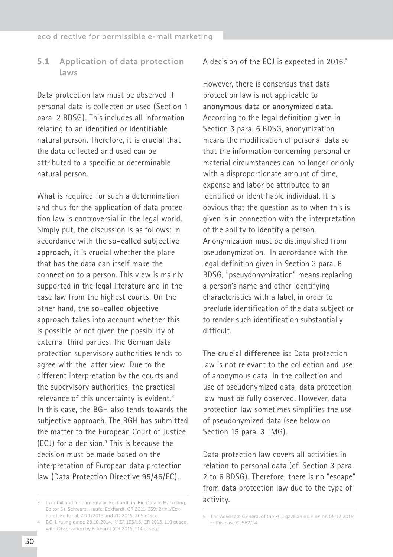## <span id="page-29-0"></span>5.1 Application of data protection laws

Data protection law must be observed if personal data is collected or used (Section 1 para. 2 BDSG). This includes all information relating to an identified or identifiable natural person. Therefore, it is crucial that the data collected and used can be attributed to a specific or determinable natural person.

What is required for such a determination and thus for the application of data protection law is controversial in the legal world. Simply put, the discussion is as follows: In accordance with the **so-called subjective approach,** it is crucial whether the place that has the data can itself make the connection to a person. This view is mainly supported in the legal literature and in the case law from the highest courts. On the other hand, the **so-called objective approach** takes into account whether this is possible or not given the possibility of external third parties. The German data protection supervisory authorities tends to agree with the latter view. Due to the different interpretation by the courts and the supervisory authorities, the practical relevance of this uncertainty is evident.3 In this case, the BGH also tends towards the subjective approach. The BGH has submitted the matter to the European Court of Justice (ECJ) for a decision.4 This is because the decision must be made based on the interpretation of European data protection law (Data Protection Directive 95/46/EC).

A decision of the ECJ is expected in 2016.<sup>5</sup>

However, there is consensus that data protection law is not applicable to **anonymous data or anonymized data.** According to the legal definition given in Section 3 para. 6 BDSG, anonymization means the modification of personal data so that the information concerning personal or material circumstances can no longer or only with a disproportionate amount of time, expense and labor be attributed to an identified or identifiable individual. It is obvious that the question as to when this is given is in connection with the interpretation of the ability to identify a person. Anonymization must be distinguished from pseudonymization. In accordance with the legal definition given in Section 3 para. 6 BDSG, "pseuydonymization" means replacing a person's name and other identifying characteristics with a label, in order to preclude identification of the data subject or to render such identification substantially difficult.

**The crucial difference is:** Data protection law is not relevant to the collection and use of anonymous data. In the collection and use of pseudonymized data, data protection law must be fully observed. However, data protection law sometimes simplifies the use of pseudonymized data (see below on Section 15 para. 3 TMG).

Data protection law covers all activities in relation to personal data (cf. Section 3 para. 2 to 6 BDSG). Therefore, there is no "escape" from data protection law due to the type of activity.

<sup>3</sup> In detail and fundamentally: Eckhardt, in: Big Data in Marketing, Editor Dr. Schwarz, Haufe; Eckhardt, CR 2011, 339; Brink/Eckhardt, Editorial, ZD 1/2015 and ZD 2015, 205 et seq. 4 BGH, ruling dated 28.10.2014, IV ZR 135/15, CR 2015, 110 et seq.

with Observation by Eckhardt (CR 2015, 114 et seq.)

<sup>5</sup> The Advocate General of the ECJ gave an opinion on 05.12.2015 in this case C-582/14.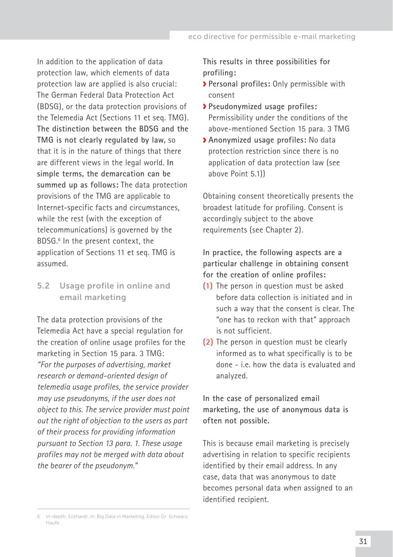<span id="page-30-0"></span>In addition to the application of data protection law, which elements of data protection law are applied is also crucial: The German Federal Data Protection Act (BDSG), or the data protection provisions of the Telemedia Act (Sections 11 et seq. TMG). **The distinction between the BDSG and the TMG is not clearly regulated by law,** so that it is in the nature of things that there are different views in the legal world. **In simple terms, the demarcation can be summed up as follows:** The data protection provisions of the TMG are applicable to Internet-specific facts and circumstances, while the rest (with the exception of telecommunications) is governed by the BDSG.<sup>6</sup> In the present context, the application of Sections 11 et seq. TMG is assumed.

## 5.2 Usage profile in online and email marketing

The data protection provisions of the Telemedia Act have a special regulation for the creation of online usage profiles for the marketing in Section 15 para. 3 TMG: *"For the purposes of advertising, market research or demand-oriented design of telemedia usage profiles, the service provider may use pseudonyms, if the user does not object to this. The service provider must point out the right of objection to the users as part of their process for providing information pursuant to Section 13 para. 1. These usage profiles may not be merged with data about the bearer of the pseudonym."*

**This results in three possibilities for profiling:**

- **Personal profiles:** Only permissible with consent
- **Pseudonymized usage profiles:**  Permissibility under the conditions of the above-mentioned Section 15 para. 3 TMG
- **Anonymized usage profiles:** No data protection restriction since there is no application of data protection law (see above Point 5.1))

Obtaining consent theoretically presents the broadest latitude for profiling. Consent is accordingly subject to the above requirements (see Chapter 2).

**In practice, the following aspects are a particular challenge in obtaining consent for the creation of online profiles:**

- **(1)** The person in question must be asked before data collection is initiated and in such a way that the consent is clear. The "one has to reckon with that" approach is not sufficient.
- **(2)** The person in question must be clearly informed as to what specifically is to be done - i.e. how the data is evaluated and analyzed.

**In the case of personalized email marketing, the use of anonymous data is often not possible.**

This is because email marketing is precisely advertising in relation to specific recipients identified by their email address. In any case, data that was anonymous to date becomes personal data when assigned to an identified recipient.

<sup>6</sup> In-depth: Eckhardt, in: Big Data in Marketing, Editor Dr. Schwarz, Haufe.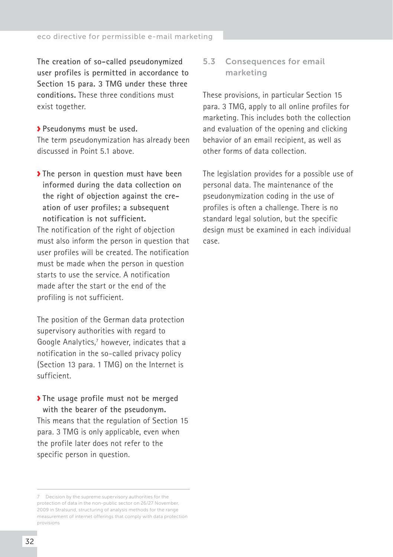<span id="page-31-0"></span>**The creation of so-called pseudonymized user profiles is permitted in accordance to Section 15 para. 3 TMG under these three conditions.** These three conditions must exist together.

**Pseudonyms must be used.** The term pseudonymization has already been discussed in Point 5.1 above.

**The person in question must have been informed during the data collection on the right of objection against the creation of user profiles; a subsequent notification is not sufficient.**  The notification of the right of objection must also inform the person in question that user profiles will be created. The notification must be made when the person in question starts to use the service. A notification made after the start or the end of the profiling is not sufficient.

The position of the German data protection supervisory authorities with regard to Google Analytics,<sup>7</sup> however, indicates that a notification in the so-called privacy policy (Section 13 para. 1 TMG) on the Internet is sufficient.

**The usage profile must not be merged with the bearer of the pseudonym.** This means that the regulation of Section 15 para. 3 TMG is only applicable, even when the profile later does not refer to the specific person in question.

## 5.3 Consequences for email marketing

These provisions, in particular Section 15 para. 3 TMG, apply to all online profiles for marketing. This includes both the collection and evaluation of the opening and clicking behavior of an email recipient, as well as other forms of data collection.

The legislation provides for a possible use of personal data. The maintenance of the pseudonymization coding in the use of profiles is often a challenge. There is no standard legal solution, but the specific design must be examined in each individual case.

<sup>7</sup> Decision by the supreme supervisory authorities for the protection of data in the non-public sector on 26/27 November, 2009 in Stralsund, structuring of analysis methods for the range measurement of internet offerings that comply with data protection provisions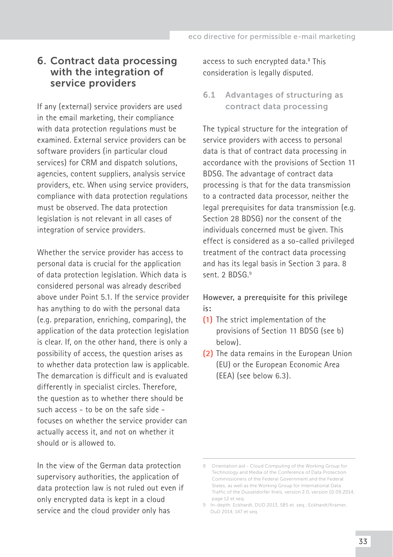# <span id="page-32-0"></span>6. Contract data processing with the integration of service providers

If any (external) service providers are used in the email marketing, their compliance with data protection regulations must be examined. External service providers can be software providers (in particular cloud services) for CRM and dispatch solutions, agencies, content suppliers, analysis service providers, etc. When using service providers, compliance with data protection regulations must be observed. The data protection legislation is not relevant in all cases of integration of service providers.

Whether the service provider has access to personal data is crucial for the application of data protection legislation. Which data is considered personal was already described above under Point 5.1. If the service provider has anything to do with the personal data (e.g. preparation, enriching, comparing), the application of the data protection legislation is clear. If, on the other hand, there is only a possibility of access, the question arises as to whether data protection law is applicable. The demarcation is difficult and is evaluated differently in specialist circles. Therefore, the question as to whether there should be such access - to be on the safe side focuses on whether the service provider can actually access it, and not on whether it should or is allowed to.

In the view of the German data protection supervisory authorities, the application of data protection law is not ruled out even if only encrypted data is kept in a cloud service and the cloud provider only has

access to such encrypted data.<sup>8</sup> This consideration is legally disputed.

6.1 Advantages of structuring as contract data processing

The typical structure for the integration of service providers with access to personal data is that of contract data processing in accordance with the provisions of Section 11 BDSG. The advantage of contract data processing is that for the data transmission to a contracted data processor, neither the legal prerequisites for data transmission (e.g. Section 28 BDSG) nor the consent of the individuals concerned must be given. This effect is considered as a so-called privileged treatment of the contract data processing and has its legal basis in Section 3 para. 8 sent. 2 BDSG.<sup>9</sup>

**However, a prerequisite for this privilege is:** 

- **(1)** The strict implementation of the provisions of Section 11 BDSG (see b) below).
- **(2)** The data remains in the European Union (EU) or the European Economic Area (EEA) (see below 6.3).

<sup>8</sup> Orientation aid - Cloud Computing of the Working Group for Technology and Media of the Conference of Data Protection Commissioners of the Federal Government and the Federal States, as well as the Working Group for International Data Traffic of the Dusseldorfer Kreis, version 2.0, version 10.09.2014, page 12 et seq.

<sup>9</sup> In-depth: Eckhardt, DUD 2013, 585 et. seq.; Eckhardt/Kramer, DuD 2014, 147 et seq.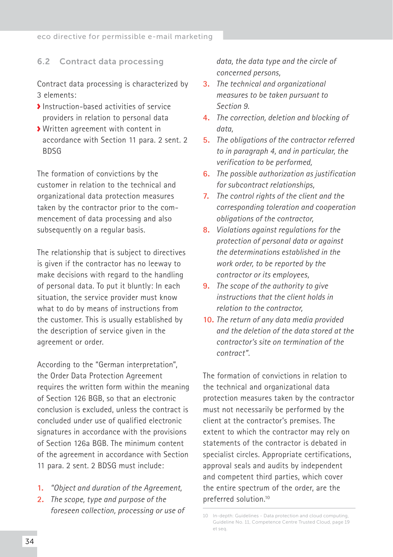#### <span id="page-33-0"></span>6.2 Contract data processing

Contract data processing is characterized by 3 elements:

- Instruction-based activities of service providers in relation to personal data
- Written agreement with content in accordance with Section 11 para. 2 sent. 2 BDSG

The formation of convictions by the customer in relation to the technical and organizational data protection measures taken by the contractor prior to the commencement of data processing and also subsequently on a regular basis.

The relationship that is subject to directives is given if the contractor has no leeway to make decisions with regard to the handling of personal data. To put it bluntly: In each situation, the service provider must know what to do by means of instructions from the customer. This is usually established by the description of service given in the agreement or order.

According to the "German interpretation", the Order Data Protection Agreement requires the written form within the meaning of Section 126 BGB, so that an electronic conclusion is excluded, unless the contract is concluded under use of qualified electronic signatures in accordance with the provisions of Section 126a BGB. The minimum content of the agreement in accordance with Section 11 para. 2 sent. 2 BDSG must include:

- **1.** *"Object and duration of the Agreement,*
- **2.** *The scope, type and purpose of the foreseen collection, processing or use of*

*data, the data type and the circle of concerned persons,*

- **3.** *The technical and organizational measures to be taken pursuant to Section 9.*
- **4.** *The correction, deletion and blocking of data,*
- **5.** *The obligations of the contractor referred to in paragraph 4, and in particular, the verification to be performed,*
- **6.** *The possible authorization as justification for subcontract relationships,*
- **7.** *The control rights of the client and the corresponding toleration and cooperation obligations of the contractor,*
- **8.** *Violations against regulations for the protection of personal data or against the determinations established in the work order, to be reported by the contractor or its employees,*
- **9.** *The scope of the authority to give instructions that the client holds in relation to the contractor,*
- **10.** *The return of any data media provided and the deletion of the data stored at the contractor's site on termination of the contract".*

The formation of convictions in relation to the technical and organizational data protection measures taken by the contractor must not necessarily be performed by the client at the contractor's premises. The extent to which the contractor may rely on statements of the contractor is debated in specialist circles. Appropriate certifications, approval seals and audits by independent and competent third parties, which cover the entire spectrum of the order, are the preferred solution.10

<sup>10</sup> In-depth: Guidelines - Data protection and cloud computing, Guideline No. 11, Competence Centre Trusted Cloud, page 19 et seq.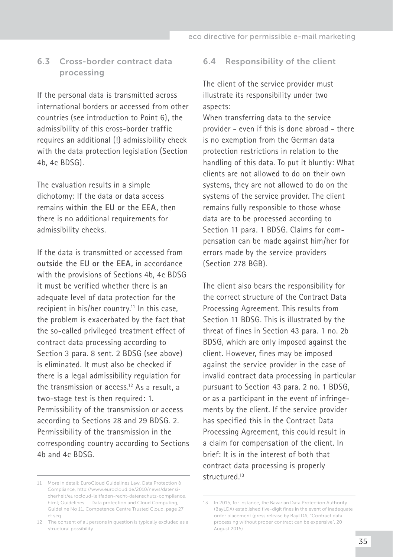# <span id="page-34-0"></span>6.3 Cross-border contract data processing

If the personal data is transmitted across international borders or accessed from other countries (see introduction to Point 6), the admissibility of this cross-border traffic requires an additional (!) admissibility check with the data protection legislation (Section 4b, 4c BDSG).

The evaluation results in a simple dichotomy: If the data or data access remains **within the EU or the EEA,** then there is no additional requirements for admissibility checks.

If the data is transmitted or accessed from **outside the EU or the EEA,** in accordance with the provisions of Sections 4b, 4c BDSG it must be verified whether there is an adequate level of data protection for the recipient in his/her country.<sup>11</sup> In this case, the problem is exacerbated by the fact that the so-called privileged treatment effect of contract data processing according to Section 3 para. 8 sent. 2 BDSG (see above) is eliminated. It must also be checked if there is a legal admissibility regulation for the transmission or access.12 As a result, a two-stage test is then required: 1. Permissibility of the transmission or access according to Sections 28 and 29 BDSG. 2. Permissibility of the transmission in the corresponding country according to Sections 4b and 4c BDSG.

#### 6.4 Responsibility of the client

The client of the service provider must illustrate its responsibility under two aspects:

When transferring data to the service provider - even if this is done abroad - there is no exemption from the German data protection restrictions in relation to the handling of this data. To put it bluntly: What clients are not allowed to do on their own systems, they are not allowed to do on the systems of the service provider. The client remains fully responsible to those whose data are to be processed according to Section 11 para. 1 BDSG. Claims for compensation can be made against him/her for errors made by the service providers (Section 278 BGB).

The client also bears the responsibility for the correct structure of the Contract Data Processing Agreement. This results from Section 11 BDSG. This is illustrated by the threat of fines in Section 43 para. 1 no. 2b BDSG, which are only imposed against the client. However, fines may be imposed against the service provider in the case of invalid contract data processing in particular pursuant to Section 43 para. 2 no. 1 BDSG, or as a participant in the event of infringements by the client. If the service provider has specified this in the Contract Data Processing Agreement, this could result in a claim for compensation of the client. In brief: It is in the interest of both that contract data processing is properly structured.13

<sup>11</sup> More in detail: [EuroCloud Guidelines Law, Data Protection &](http://www.eurocloud.de/2010/news/datensicherheit/eurocloud-leitfaden-recht-datenschutz-compliance.html)  [Compliance,](http://www.eurocloud.de/2010/news/datensicherheit/eurocloud-leitfaden-recht-datenschutz-compliance.html) http://www.eurocloud.de/2010/news/datensicherheit/eurocloud-leitfaden-recht-datenschutz-compliance. html; Guidelines – Data protection and Cloud Computing, Guideline No 11, Competence Centre Trusted Cloud, page 27 et seq.

<sup>12</sup> The consent of all persons in question is typically excluded as a structural possibility.

<sup>13</sup> In 2015, for instance, the Bavarian Data Protection Authority (BayLDA) established five-digit fines in the event of inadequate order placement (press release by BayLDA, "Contract data processing without proper contract can be expensive", 20 .<br>August 2015).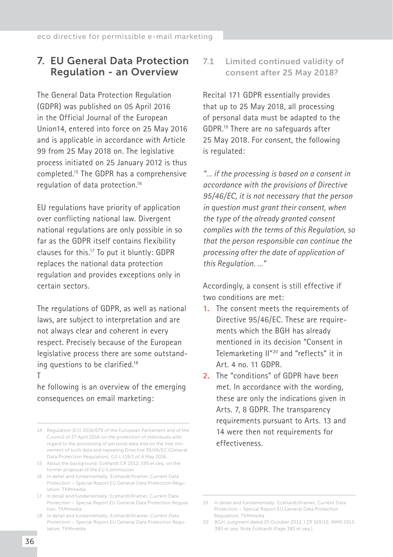# <span id="page-35-0"></span>7. EU General Data Protection Regulation - an Overview

The General Data Protection Regulation (GDPR) was published on 05 April 2016 in the Official Journal of the European Union14, entered into force on 25 May 2016 and is applicable in accordance with Article 99 from 25 May 2018 on. The legislative process initiated on 25 January 2012 is thus completed.15 The GDPR has a comprehensive regulation of data protection.16

EU regulations have priority of application over conflicting national law. Divergent national regulations are only possible in so far as the GDPR itself contains flexibility clauses for this.17 To put it bluntly: GDPR replaces the national data protection regulation and provides exceptions only in certain sectors.

The regulations of GDPR, as well as national laws, are subject to interpretation and are not always clear and coherent in every respect. Precisely because of the European legislative process there are some outstanding questions to be clarified.<sup>18</sup>

#### T

he following is an overview of the emerging consequences on email marketing:

7.1 Limited continued validity of consent after 25 May 2018?

Recital 171 GDPR essentially provides that up to 25 May 2018, all processing of personal data must be adapted to the GDPR.19 There are no safeguards after 25 May 2018. For consent, the following is regulated:

*"… if the processing is based on a consent in accordance with the provisions of Directive 95/46/EC, it is not necessary that the person in question must grant their consent, when the type of the already granted consent complies with the terms of this Regulation, so that the person responsible can continue the processing after the date of application of this Regulation. …"* 

Accordingly, a consent is still effective if two conditions are met:

- **1.** The consent meets the requirements of Directive 95/46/EC. These are requirements which the BGH has already mentioned in its decision "Consent in Telemarketing II"20 and "reflects" it in Art. 4 no. 11 GDPR.
- **2.** The "conditions" of GDPR have been met. In accordance with the wording, these are only the indications given in Arts. 7, 8 GDPR. The transparency requirements pursuant to Arts. 13 and 14 were then not requirements for effectiveness.

<sup>14</sup> Regulation (EU) 2016/679 of the European Parliament and of the Council of 27 April 2016 on the protection of individuals with regard to the processing of personal data and on the free movement of such data and repealing Directive 95/46/EC (General Data Protection Regulation), OJ L 119/1 of 4 May 2016.

<sup>15</sup> About the background: Eckhardt CR 2012, 195 et seq. on the former proposal of the EU Commission

<sup>16</sup> In detail and fundamentally: Eckhardt/Kramer, Current Data Protection – Special Report EU General Data Protection Regulation, TKMmedia

<sup>17</sup> In detail and fundamentally: Eckhardt/Kramer, Current Data Protection – Special Report EU General Data Protection Regulation, TKMmedia

<sup>18</sup> In detail and fundamentally: Eckhardt/Kramer, Current Data Protection – Special Report EU General Data Protection Regulation, TKMmedia

<sup>19</sup> In detail and fundamentally: Eckhardt/Kramer, Current Data Protection – Special Report EU General Data Protection Regulation, TKMmedia

<sup>20</sup> BGH, judgment dated 25 October 2012, I ZR 169/10, MMR 2013, 380 et seq. Note Eckhardt (Page 382 et seq.).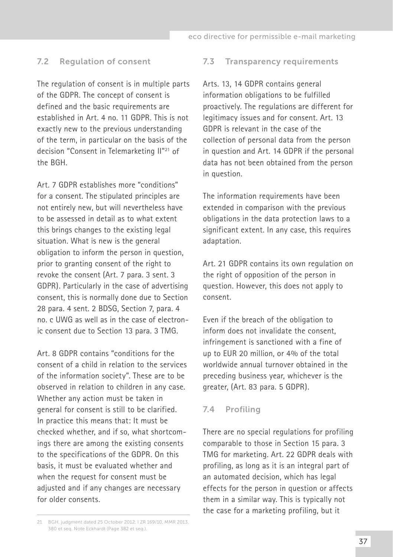#### <span id="page-36-0"></span>7.2 Regulation of consent

The regulation of consent is in multiple parts of the GDPR. The concept of consent is defined and the basic requirements are established in Art. 4 no. 11 GDPR. This is not exactly new to the previous understanding of the term, in particular on the basis of the decision "Consent in Telemarketing II"21 of the BGH.

Art. 7 GDPR establishes more "conditions" for a consent. The stipulated principles are not entirely new, but will nevertheless have to be assessed in detail as to what extent this brings changes to the existing legal situation. What is new is the general obligation to inform the person in question, prior to granting consent of the right to revoke the consent (Art. 7 para. 3 sent. 3 GDPR). Particularly in the case of advertising consent, this is normally done due to Section 28 para. 4 sent. 2 BDSG, Section 7, para. 4 no. c UWG as well as in the case of electronic consent due to Section 13 para. 3 TMG.

Art. 8 GDPR contains "conditions for the consent of a child in relation to the services of the information society". These are to be observed in relation to children in any case. Whether any action must be taken in general for consent is still to be clarified. In practice this means that: It must be checked whether, and if so, what shortcomings there are among the existing consents to the specifications of the GDPR. On this basis, it must be evaluated whether and when the request for consent must be adjusted and if any changes are necessary for older consents.

#### 7.3 Transparency requirements

Arts. 13, 14 GDPR contains general information obligations to be fulfilled proactively. The regulations are different for legitimacy issues and for consent. Art. 13 GDPR is relevant in the case of the collection of personal data from the person in question and Art. 14 GDPR if the personal data has not been obtained from the person in question.

The information requirements have been extended in comparison with the previous obligations in the data protection laws to a significant extent. In any case, this requires adaptation.

Art. 21 GDPR contains its own regulation on the right of opposition of the person in question. However, this does not apply to consent.

Even if the breach of the obligation to inform does not invalidate the consent, infringement is sanctioned with a fine of up to EUR 20 million, or 4% of the total worldwide annual turnover obtained in the preceding business year, whichever is the greater, (Art. 83 para. 5 GDPR).

#### 7.4 Profiling

There are no special regulations for profiling comparable to those in Section 15 para. 3 TMG for marketing. Art. 22 GDPR deals with profiling, as long as it is an integral part of an automated decision, which has legal effects for the person in question or affects them in a similar way. This is typically not the case for a marketing profiling, but it

<sup>21</sup> BGH, judgment dated 25 October 2012, I ZR 169/10, MMR 2013, 380 et seq. Note Eckhardt (Page 382 et seq.).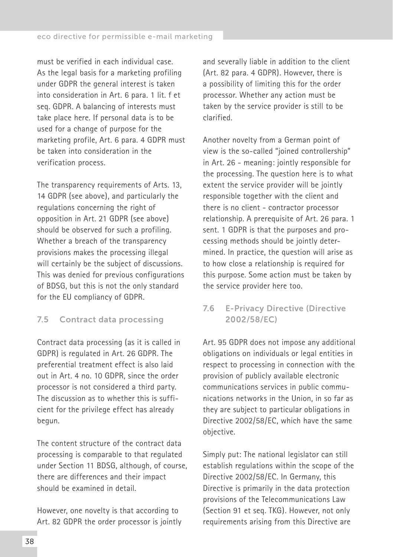<span id="page-37-0"></span>must be verified in each individual case. As the legal basis for a marketing profiling under GDPR the general interest is taken into consideration in Art. 6 para. 1 lit. f et seq. GDPR. A balancing of interests must take place here. If personal data is to be used for a change of purpose for the marketing profile, Art. 6 para. 4 GDPR must be taken into consideration in the verification process.

The transparency requirements of Arts. 13, 14 GDPR (see above), and particularly the regulations concerning the right of opposition in Art. 21 GDPR (see above) should be observed for such a profiling. Whether a breach of the transparency provisions makes the processing illegal will certainly be the subject of discussions. This was denied for previous configurations of BDSG, but this is not the only standard for the EU compliancy of GDPR.

# 7.5 Contract data processing

Contract data processing (as it is called in GDPR) is regulated in Art. 26 GDPR. The preferential treatment effect is also laid out in Art. 4 no. 10 GDPR, since the order processor is not considered a third party. The discussion as to whether this is sufficient for the privilege effect has already begun.

The content structure of the contract data processing is comparable to that regulated under Section 11 BDSG, although, of course, there are differences and their impact should be examined in detail.

However, one novelty is that according to Art. 82 GDPR the order processor is jointly and severally liable in addition to the client (Art. 82 para. 4 GDPR). However, there is a possibility of limiting this for the order processor. Whether any action must be taken by the service provider is still to be clarified.

Another novelty from a German point of view is the so-called "joined controllership" in Art. 26 - meaning: jointly responsible for the processing. The question here is to what extent the service provider will be jointly responsible together with the client and there is no client - contractor processor relationship. A prerequisite of Art. 26 para. 1 sent. 1 GDPR is that the purposes and processing methods should be jointly determined. In practice, the question will arise as to how close a relationship is required for this purpose. Some action must be taken by the service provider here too.

# 7.6 E-Privacy Directive (Directive 2002/58/EC)

Art. 95 GDPR does not impose any additional obligations on individuals or legal entities in respect to processing in connection with the provision of publicly available electronic communications services in public communications networks in the Union, in so far as they are subject to particular obligations in Directive 2002/58/EC, which have the same objective.

Simply put: The national legislator can still establish regulations within the scope of the Directive 2002/58/EC. In Germany, this Directive is primarily in the data protection provisions of the Telecommunications Law (Section 91 et seq. TKG). However, not only requirements arising from this Directive are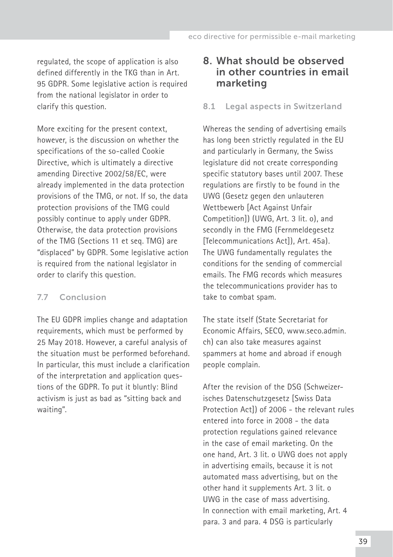<span id="page-38-0"></span>regulated, the scope of application is also defined differently in the TKG than in Art. 95 GDPR. Some legislative action is required from the national legislator in order to clarify this question.

More exciting for the present context, however, is the discussion on whether the specifications of the so-called Cookie Directive, which is ultimately a directive amending Directive 2002/58/EC, were already implemented in the data protection provisions of the TMG, or not. If so, the data protection provisions of the TMG could possibly continue to apply under GDPR. Otherwise, the data protection provisions of the TMG (Sections 11 et seq. TMG) are "displaced" by GDPR. Some legislative action is required from the national legislator in order to clarify this question.

#### 7.7 Conclusion

The EU GDPR implies change and adaptation requirements, which must be performed by 25 May 2018. However, a careful analysis of the situation must be performed beforehand. In particular, this must include a clarification of the interpretation and application questions of the GDPR. To put it bluntly: Blind activism is just as bad as "sitting back and waiting".

# 8. What should be observed in other countries in email marketing

#### 8.1 Legal aspects in Switzerland

Whereas the sending of advertising emails has long been strictly regulated in the EU and particularly in Germany, the Swiss legislature did not create corresponding specific statutory bases until 2007. These regulations are firstly to be found in the UWG (Gesetz gegen den unlauteren Wettbewerb [Act Against Unfair Competition]) (UWG, Art. 3 lit. o), and secondly in the FMG (Fernmeldegesetz [Telecommunications Act]), Art. 45a). The UWG fundamentally regulates the conditions for the sending of commercial emails. The FMG records which measures the telecommunications provider has to take to combat spam.

The state itself (State Secretariat for Economic Affairs, SECO, www.seco.admin. ch) can also take measures against spammers at home and abroad if enough people complain.

After the revision of the DSG (Schweizerisches Datenschutzgesetz [Swiss Data Protection Act]) of 2006 - the relevant rules entered into force in 2008 - the data protection regulations gained relevance in the case of email marketing. On the one hand, Art. 3 lit. o UWG does not apply in advertising emails, because it is not automated mass advertising, but on the other hand it supplements Art. 3 lit. o UWG in the case of mass advertising. In connection with email marketing, Art. 4 para. 3 and para. 4 DSG is particularly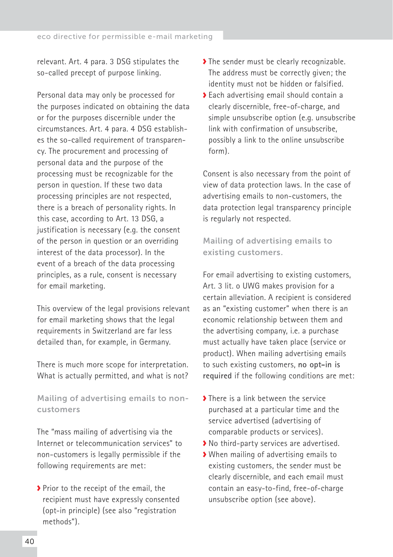relevant. Art. 4 para. 3 DSG stipulates the so-called precept of purpose linking.

Personal data may only be processed for the purposes indicated on obtaining the data or for the purposes discernible under the circumstances. Art. 4 para. 4 DSG establishes the so-called requirement of transparency. The procurement and processing of personal data and the purpose of the processing must be recognizable for the person in question. If these two data processing principles are not respected, there is a breach of personality rights. In this case, according to Art. 13 DSG, a justification is necessary (e.g. the consent of the person in question or an overriding interest of the data processor). In the event of a breach of the data processing principles, as a rule, consent is necessary for email marketing.

This overview of the legal provisions relevant for email marketing shows that the legal requirements in Switzerland are far less detailed than, for example, in Germany.

There is much more scope for interpretation. What is actually permitted, and what is not?

Mailing of advertising emails to noncustomers

The "mass mailing of advertising via the Internet or telecommunication services" to non-customers is legally permissible if the following requirements are met:

Prior to the receipt of the email, the recipient must have expressly consented (opt-in principle) (see also "registration methods").

- The sender must be clearly recognizable. The address must be correctly given; the identity must not be hidden or falsified.
- Each advertising email should contain a clearly discernible, free-of-charge, and simple unsubscribe option (e.g. unsubscribe link with confirmation of unsubscribe, possibly a link to the online unsubscribe form).

Consent is also necessary from the point of view of data protection laws. In the case of advertising emails to non-customers, the data protection legal transparency principle is regularly not respected.

Mailing of advertising emails to existing customers.

For email advertising to existing customers, Art. 3 lit. o UWG makes provision for a certain alleviation. A recipient is considered as an "existing customer" when there is an economic relationship between them and the advertising company, i.e. a purchase must actually have taken place (service or product). When mailing advertising emails to such existing customers, **no opt-in is required** if the following conditions are met:

- > There is a link between the service purchased at a particular time and the service advertised (advertising of comparable products or services).
- No third-party services are advertised.
- When mailing of advertising emails to existing customers, the sender must be clearly discernible, and each email must contain an easy-to-find, free-of-charge unsubscribe option (see above).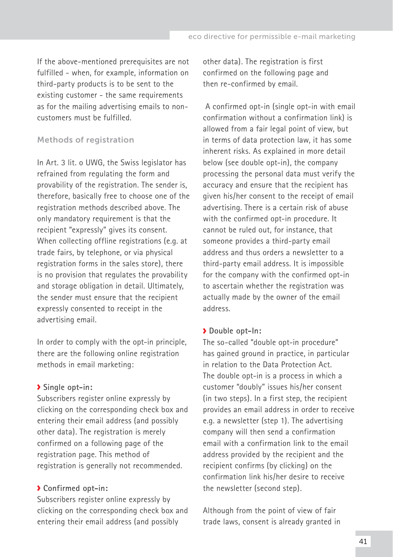If the above-mentioned prerequisites are not fulfilled - when, for example, information on third-party products is to be sent to the existing customer - the same requirements as for the mailing advertising emails to noncustomers must be fulfilled.

#### Methods of registration

In Art. 3 lit. o UWG, the Swiss legislator has refrained from regulating the form and provability of the registration. The sender is, therefore, basically free to choose one of the registration methods described above. The only mandatory requirement is that the recipient "expressly" gives its consent. When collecting offline registrations (e.g. at trade fairs, by telephone, or via physical registration forms in the sales store), there is no provision that regulates the provability and storage obligation in detail. Ultimately, the sender must ensure that the recipient expressly consented to receipt in the advertising email.

In order to comply with the opt-in principle, there are the following online registration methods in email marketing:

#### **Single opt-in:**

Subscribers register online expressly by clicking on the corresponding check box and entering their email address (and possibly other data). The registration is merely confirmed on a following page of the registration page. This method of registration is generally not recommended.

#### **Confirmed opt-in:**

Subscribers register online expressly by clicking on the corresponding check box and entering their email address (and possibly

other data). The registration is first confirmed on the following page and then re-confirmed by email.

 A confirmed opt-in (single opt-in with email confirmation without a confirmation link) is allowed from a fair legal point of view, but in terms of data protection law, it has some inherent risks. As explained in more detail below (see double opt-in), the company processing the personal data must verify the accuracy and ensure that the recipient has given his/her consent to the receipt of email advertising. There is a certain risk of abuse with the confirmed opt-in procedure. It cannot be ruled out, for instance, that someone provides a third-party email address and thus orders a newsletter to a third-party email address. It is impossible for the company with the confirmed opt-in to ascertain whether the registration was actually made by the owner of the email address.

#### **Double opt-In:**

The so-called "double opt-in procedure" has gained ground in practice, in particular in relation to the Data Protection Act. The double opt-in is a process in which a customer "doubly" issues his/her consent (in two steps). In a first step, the recipient provides an email address in order to receive e.g. a newsletter (step 1). The advertising company will then send a confirmation email with a confirmation link to the email address provided by the recipient and the recipient confirms (by clicking) on the confirmation link his/her desire to receive the newsletter (second step).

Although from the point of view of fair trade laws, consent is already granted in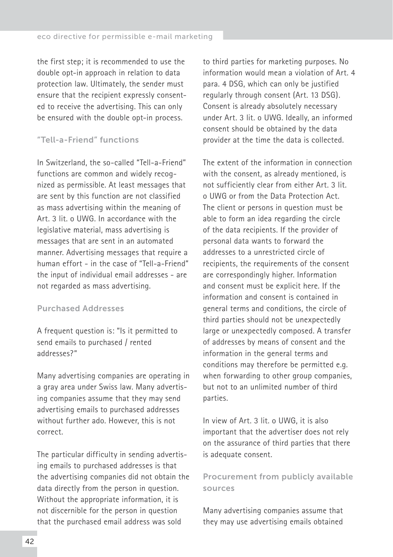the first step; it is recommended to use the double opt-in approach in relation to data protection law. Ultimately, the sender must ensure that the recipient expressly consented to receive the advertising. This can only be ensured with the double opt-in process.

## "Tell-a-Friend" functions

In Switzerland, the so-called "Tell-a-Friend" functions are common and widely recognized as permissible. At least messages that are sent by this function are not classified as mass advertising within the meaning of Art. 3 lit. o UWG. In accordance with the legislative material, mass advertising is messages that are sent in an automated manner. Advertising messages that require a human effort - in the case of "Tell-a-Friend" the input of individual email addresses - are not regarded as mass advertising.

#### Purchased Addresses

A frequent question is: "Is it permitted to send emails to purchased / rented addresses?"

Many advertising companies are operating in a gray area under Swiss law. Many advertising companies assume that they may send advertising emails to purchased addresses without further ado. However, this is not correct.

The particular difficulty in sending advertising emails to purchased addresses is that the advertising companies did not obtain the data directly from the person in question. Without the appropriate information, it is not discernible for the person in question that the purchased email address was sold

to third parties for marketing purposes. No information would mean a violation of Art. 4 para. 4 DSG, which can only be justified regularly through consent (Art. 13 DSG). Consent is already absolutely necessary under Art. 3 lit. o UWG. Ideally, an informed consent should be obtained by the data provider at the time the data is collected.

The extent of the information in connection with the consent, as already mentioned, is not sufficiently clear from either Art. 3 lit. o UWG or from the Data Protection Act. The client or persons in question must be able to form an idea regarding the circle of the data recipients. If the provider of personal data wants to forward the addresses to a unrestricted circle of recipients, the requirements of the consent are correspondingly higher. Information and consent must be explicit here. If the information and consent is contained in general terms and conditions, the circle of third parties should not be unexpectedly large or unexpectedly composed. A transfer of addresses by means of consent and the information in the general terms and conditions may therefore be permitted e.g. when forwarding to other group companies, but not to an unlimited number of third parties.

In view of Art. 3 lit. o UWG, it is also important that the advertiser does not rely on the assurance of third parties that there is adequate consent.

# Procurement from publicly available sources

Many advertising companies assume that they may use advertising emails obtained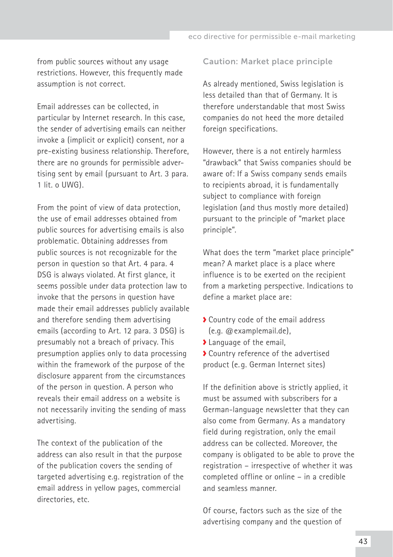from public sources without any usage restrictions. However, this frequently made assumption is not correct.

Email addresses can be collected, in particular by Internet research. In this case, the sender of advertising emails can neither invoke a (implicit or explicit) consent, nor a pre-existing business relationship. Therefore, there are no grounds for permissible advertising sent by email (pursuant to Art. 3 para. 1 lit. o UWG).

From the point of view of data protection, the use of email addresses obtained from public sources for advertising emails is also problematic. Obtaining addresses from public sources is not recognizable for the person in question so that Art. 4 para. 4 DSG is always violated. At first glance, it seems possible under data protection law to invoke that the persons in question have made their email addresses publicly available and therefore sending them advertising emails (according to Art. 12 para. 3 DSG) is presumably not a breach of privacy. This presumption applies only to data processing within the framework of the purpose of the disclosure apparent from the circumstances of the person in question. A person who reveals their email address on a website is not necessarily inviting the sending of mass advertising.

The context of the publication of the address can also result in that the purpose of the publication covers the sending of targeted advertising e.g. registration of the email address in yellow pages, commercial directories, etc.

#### Caution: Market place principle

As already mentioned, Swiss legislation is less detailed than that of Germany. It is therefore understandable that most Swiss companies do not heed the more detailed foreign specifications.

However, there is a not entirely harmless "drawback" that Swiss companies should be aware of: If a Swiss company sends emails to recipients abroad, it is fundamentally subject to compliance with foreign legislation (and thus mostly more detailed) pursuant to the principle of "market place principle".

What does the term "market place principle" mean? A market place is a place where influence is to be exerted on the recipient from a marketing perspective. Indications to define a market place are:

- ◆ Country code of the email address (e.g. @examplemail.de),
- Language of the email,
- Country reference of the advertised product (e. g. German Internet sites)

If the definition above is strictly applied, it must be assumed with subscribers for a German-language newsletter that they can also come from Germany. As a mandatory field during registration, only the email address can be collected. Moreover, the company is obligated to be able to prove the registration – irrespective of whether it was completed offline or online – in a credible and seamless manner.

Of course, factors such as the size of the advertising company and the question of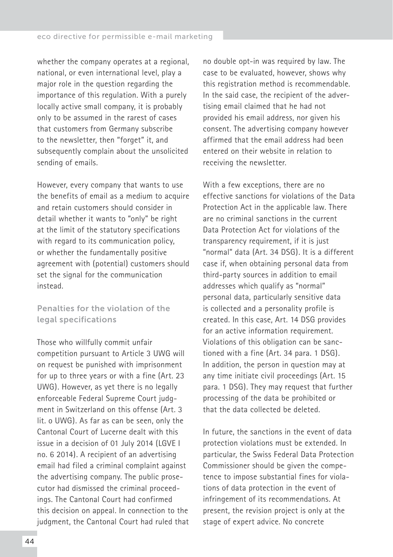whether the company operates at a regional, national, or even international level, play a major role in the question regarding the importance of this regulation. With a purely locally active small company, it is probably only to be assumed in the rarest of cases that customers from Germany subscribe to the newsletter, then "forget" it, and subsequently complain about the unsolicited sending of emails.

However, every company that wants to use the benefits of email as a medium to acquire and retain customers should consider in detail whether it wants to "only" be right at the limit of the statutory specifications with regard to its communication policy, or whether the fundamentally positive agreement with (potential) customers should set the signal for the communication instead.

Penalties for the violation of the legal specifications

Those who willfully commit unfair competition pursuant to Article 3 UWG will on request be punished with imprisonment for up to three years or with a fine (Art. 23 UWG). However, as yet there is no legally enforceable Federal Supreme Court judgment in Switzerland on this offense (Art. 3 lit. o UWG). As far as can be seen, only the Cantonal Court of Lucerne dealt with this issue in a decision of 01 July 2014 (LGVE I no. 6 2014). A recipient of an advertising email had filed a criminal complaint against the advertising company. The public prosecutor had dismissed the criminal proceedings. The Cantonal Court had confirmed this decision on appeal. In connection to the judgment, the Cantonal Court had ruled that no double opt-in was required by law. The case to be evaluated, however, shows why this registration method is recommendable. In the said case, the recipient of the advertising email claimed that he had not provided his email address, nor given his consent. The advertising company however affirmed that the email address had been entered on their website in relation to receiving the newsletter.

With a few exceptions, there are no effective sanctions for violations of the Data Protection Act in the applicable law. There are no criminal sanctions in the current Data Protection Act for violations of the transparency requirement, if it is just "normal" data (Art. 34 DSG). It is a different case if, when obtaining personal data from third-party sources in addition to email addresses which qualify as "normal" personal data, particularly sensitive data is collected and a personality profile is created. In this case, Art. 14 DSG provides for an active information requirement. Violations of this obligation can be sanctioned with a fine (Art. 34 para. 1 DSG). In addition, the person in question may at any time initiate civil proceedings (Art. 15 para. 1 DSG). They may request that further processing of the data be prohibited or that the data collected be deleted.

In future, the sanctions in the event of data protection violations must be extended. In particular, the Swiss Federal Data Protection Commissioner should be given the competence to impose substantial fines for violations of data protection in the event of infringement of its recommendations. At present, the revision project is only at the stage of expert advice. No concrete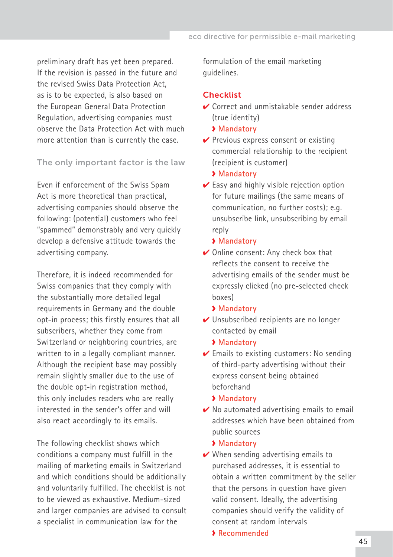preliminary draft has yet been prepared. If the revision is passed in the future and the revised Swiss Data Protection Act, as is to be expected, is also based on the European General Data Protection Regulation, advertising companies must observe the Data Protection Act with much more attention than is currently the case.

The only important factor is the law

Even if enforcement of the Swiss Spam Act is more theoretical than practical, advertising companies should observe the following: (potential) customers who feel "spammed" demonstrably and very quickly develop a defensive attitude towards the advertising company.

Therefore, it is indeed recommended for Swiss companies that they comply with the substantially more detailed legal requirements in Germany and the double opt-in process; this firstly ensures that all subscribers, whether they come from Switzerland or neighboring countries, are written to in a legally compliant manner. Although the recipient base may possibly remain slightly smaller due to the use of the double opt-in registration method, this only includes readers who are really interested in the sender's offer and will also react accordingly to its emails.

The following checklist shows which conditions a company must fulfill in the mailing of marketing emails in Switzerland and which conditions should be additionally and voluntarily fulfilled. The checklist is not to be viewed as exhaustive. Medium-sized and larger companies are advised to consult a specialist in communication law for the

formulation of the email marketing guidelines.

#### Checklist

- **✓ Correct and unmistakable sender address** (true identity)
	- **Mandatory**
- $\vee$  Previous express consent or existing commercial relationship to the recipient (recipient is customer)
	- **Mandatory**
- $\vee$  Easy and highly visible rejection option for future mailings (the same means of communication, no further costs); e.g. unsubscribe link, unsubscribing by email reply

#### **Mandatory**

- ✔ Online consent: Any check box that reflects the consent to receive the advertising emails of the sender must be expressly clicked (no pre-selected check boxes)
	- **Mandatory**
- ✔ Unsubscribed recipients are no longer contacted by email
	- **Mandatory**
- $\vee$  Emails to existing customers: No sending of third-party advertising without their express consent being obtained beforehand
	- **Mandatory**
- $\vee$  No automated advertising emails to email addresses which have been obtained from public sources

#### **Mandatory**

 $\vee$  When sending advertising emails to purchased addresses, it is essential to obtain a written commitment by the seller that the persons in question have given valid consent. Ideally, the advertising companies should verify the validity of consent at random intervals

## **Recommended**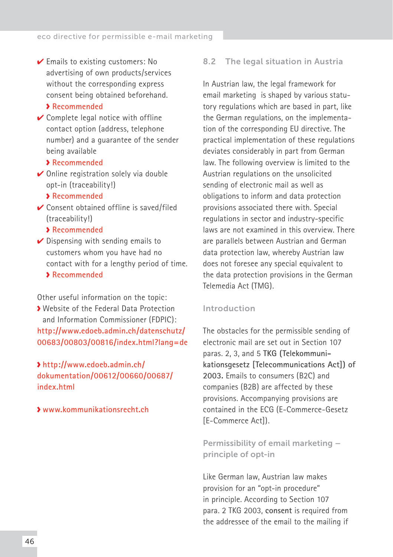<span id="page-45-0"></span> $\vee$  Emails to existing customers: No advertising of own products/services without the corresponding express consent being obtained beforehand.

#### **Recommended**✔

 $\vee$  Complete legal notice with offline contact option (address, telephone number) and a guarantee of the sender being available

#### **Recommended**✔

✔ Online registration solely via double opt-in (traceability!)

#### **Recommended**

 $\vee$  Consent obtained offline is saved/filed (traceability!)

#### **Recommended**

 $\vee$  Dispensing with sending emails to customers whom you have had no contact with for a lengthy period of time. **Recommended**

# Other useful information on the topic:

Website of the Federal Data Protection and Information Commissioner (FDPIC): **http://www.edoeb.admin.ch/datenschutz/ 00683/00803/00816/index.html?lang=de**

# **[http://www.edoeb.admin.ch/](http://www.edoeb.admin.ch/dokumentation/00612/00660/00687/index.html) [dokumentation/00612/00660/00687/](http://www.edoeb.admin.ch/dokumentation/00612/00660/00687/index.html) [index.html](http://www.edoeb.admin.ch/dokumentation/00612/00660/00687/index.html)**

#### **[www.kommunikationsrecht.ch](http://www.kommunikationsrecht.ch)**

#### 8.2 The legal situation in Austria

In Austrian law, the legal framework for email marketing is shaped by various statutory regulations which are based in part, like the German regulations, on the implementation of the corresponding EU directive. The practical implementation of these regulations deviates considerably in part from German law. The following overview is limited to the Austrian regulations on the unsolicited sending of electronic mail as well as obligations to inform and data protection provisions associated there with. Special regulations in sector and industry-specific laws are not examined in this overview. There are parallels between Austrian and German data protection law, whereby Austrian law does not foresee any special equivalent to the data protection provisions in the German Telemedia Act (TMG).

#### Introduction

The obstacles for the permissible sending of electronic mail are set out in Section 107 paras. 2, 3, and 5 **TKG (Telekommunikationsgesetz [Telecommunications Act]) of 2003.** Emails to consumers (B2C) and companies (B2B) are affected by these provisions. Accompanying provisions are contained in the ECG (E-Commerce-Gesetz [E-Commerce Act]).

Permissibility of email marketing – principle of opt-in

Like German law, Austrian law makes provision for an "opt-in procedure" in principle. According to Section 107 para. 2 TKG 2003, **consent** is required from the addressee of the email to the mailing if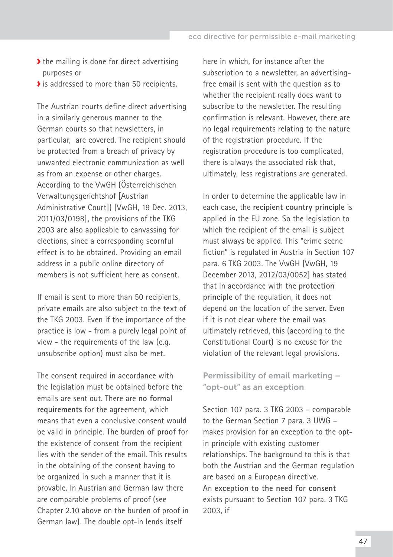- $\blacktriangleright$  the mailing is done for direct advertising purposes or
- If is addressed to more than 50 recipients.

The Austrian courts define direct advertising in a similarly generous manner to the German courts so that newsletters, in particular, are covered. The recipient should be protected from a breach of privacy by unwanted electronic communication as well as from an expense or other charges. According to the VwGH (Österreichischen Verwaltungsgerichtshof [Austrian Administrative Court]) [VwGH, 19 Dec. 2013, 2011/03/0198], the provisions of the TKG 2003 are also applicable to canvassing for elections, since a corresponding scornful effect is to be obtained. Providing an email address in a public online directory of members is not sufficient here as consent.

If email is sent to more than 50 recipients, private emails are also subject to the text of the TKG 2003. Even if the importance of the practice is low - from a purely legal point of view - the requirements of the law (e.g. unsubscribe option) must also be met.

The consent required in accordance with the legislation must be obtained before the emails are sent out. There are **no formal requirements** for the agreement, which means that even a conclusive consent would be valid in principle. The **burden of proof** for the existence of consent from the recipient lies with the sender of the email. This results in the obtaining of the consent having to be organized in such a manner that it is provable. In Austrian and German law there are comparable problems of proof (see Chapter 2.10 above on the burden of proof in German law). The double opt-in lends itself

here in which, for instance after the subscription to a newsletter, an advertisingfree email is sent with the question as to whether the recipient really does want to subscribe to the newsletter. The resulting confirmation is relevant. However, there are no legal requirements relating to the nature of the registration procedure. If the registration procedure is too complicated, there is always the associated risk that, ultimately, less registrations are generated.

In order to determine the applicable law in each case, the **recipient country principle** is applied in the EU zone. So the legislation to which the recipient of the email is subject must always be applied. This "crime scene fiction" is regulated in Austria in Section 107 para. 6 TKG 2003. The VwGH [VwGH, 19 December 2013, 2012/03/0052] has stated that in accordance with the **protection principle** of the regulation, it does not depend on the location of the server. Even if it is not clear where the email was ultimately retrieved, this (according to the Constitutional Court) is no excuse for the violation of the relevant legal provisions.

Permissibility of email marketing – "opt-out" as an exception

Section 107 para. 3 TKG 2003 – comparable to the German Section 7 para. 3 UWG – makes provision for an exception to the optin principle with existing customer relationships. The background to this is that both the Austrian and the German regulation are based on a European directive. An **exception to the need for consent** exists pursuant to Section 107 para. 3 TKG 2003, if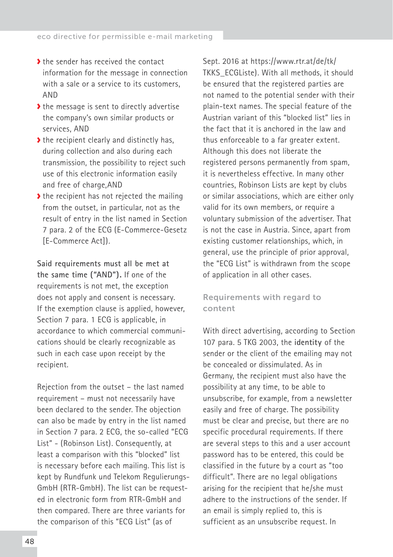- If the sender has received the contact information for the message in connection with a sale or a service to its customers, AND
- If the message is sent to directly advertise the company's own similar products or services, AND
- $\blacktriangleright$  the recipient clearly and distinctly has, during collection and also during each transmission, the possibility to reject such use of this electronic information easily and free of charge,AND
- $\blacktriangleright$  the recipient has not rejected the mailing from the outset, in particular, not as the result of entry in the list named in Section 7 para. 2 of the ECG (E-Commerce-Gesetz [E-Commerce Act]).

**Said requirements must all be met at the same time ("AND").** If one of the requirements is not met, the exception does not apply and consent is necessary. If the exemption clause is applied, however, Section 7 para. 1 ECG is applicable, in accordance to which commercial communications should be clearly recognizable as such in each case upon receipt by the recipient.

Rejection from the outset – the last named requirement – must not necessarily have been declared to the sender. The objection can also be made by entry in the list named in Section 7 para. 2 ECG, the so-called "ECG List" - (Robinson List). Consequently, at least a comparison with this "blocked" list is necessary before each mailing. This list is kept by Rundfunk und Telekom Regulierungs-GmbH (RTR-GmbH). The list can be requested in electronic form from RTR-GmbH and then compared. There are three variants for the comparison of this "ECG List" (as of

Sept. 2016 at https://www.rtr.at/de/tk/ TKKS\_ECGListe). With all methods, it should be ensured that the registered parties are not named to the potential sender with their plain-text names. The special feature of the Austrian variant of this "blocked list" lies in the fact that it is anchored in the law and thus enforceable to a far greater extent. Although this does not liberate the registered persons permanently from spam, it is nevertheless effective. In many other countries, Robinson Lists are kept by clubs or similar associations, which are either only valid for its own members, or require a voluntary submission of the advertiser. That is not the case in Austria. Since, apart from existing customer relationships, which, in general, use the principle of prior approval, the "ECG List" is withdrawn from the scope of application in all other cases.

## Requirements with regard to content

With direct advertising, according to Section 107 para. 5 TKG 2003, the **identity** of the sender or the client of the emailing may not be concealed or dissimulated. As in Germany, the recipient must also have the possibility at any time, to be able to unsubscribe, for example, from a newsletter easily and free of charge. The possibility must be clear and precise, but there are no specific procedural requirements. If there are several steps to this and a user account password has to be entered, this could be classified in the future by a court as "too difficult". There are no legal obligations arising for the recipient that he/she must adhere to the instructions of the sender. If an email is simply replied to, this is sufficient as an unsubscribe request. In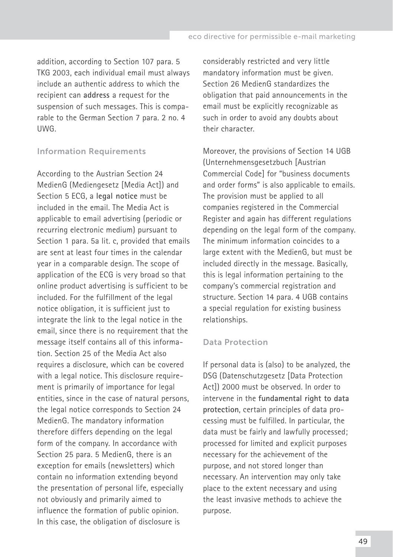addition, according to Section 107 para. 5 TKG 2003, each individual email must always include an authentic address to which the recipient can **address** a request for the suspension of such messages. This is comparable to the German Section 7 para. 2 no. 4 UWG.

#### Information Requirements

According to the Austrian Section 24 MedienG (Mediengesetz [Media Act]) and Section 5 ECG, a **legal notice** must be included in the email. The Media Act is applicable to email advertising (periodic or recurring electronic medium) pursuant to Section 1 para. 5a lit. c, provided that emails are sent at least four times in the calendar year in a comparable design. The scope of application of the ECG is very broad so that online product advertising is sufficient to be included. For the fulfillment of the legal notice obligation, it is sufficient just to integrate the link to the legal notice in the email, since there is no requirement that the message itself contains all of this information. Section 25 of the Media Act also requires a disclosure, which can be covered with a legal notice. This disclosure requirement is primarily of importance for legal entities, since in the case of natural persons, the legal notice corresponds to Section 24 MedienG. The mandatory information therefore differs depending on the legal form of the company. In accordance with Section 25 para. 5 MedienG, there is an exception for emails (newsletters) which contain no information extending beyond the presentation of personal life, especially not obviously and primarily aimed to influence the formation of public opinion. In this case, the obligation of disclosure is

considerably restricted and very little mandatory information must be given. Section 26 MedienG standardizes the obligation that paid announcements in the email must be explicitly recognizable as such in order to avoid any doubts about their character.

Moreover, the provisions of Section 14 UGB (Unternehmensgesetzbuch [Austrian Commercial Code] for "business documents and order forms" is also applicable to emails. The provision must be applied to all companies registered in the Commercial Register and again has different regulations depending on the legal form of the company. The minimum information coincides to a large extent with the MedienG, but must be included directly in the message. Basically, this is legal information pertaining to the company's commercial registration and structure. Section 14 para. 4 UGB contains a special regulation for existing business relationships.

#### Data Protection

If personal data is (also) to be analyzed, the DSG (Datenschutzgesetz [Data Protection Act]) 2000 must be observed. In order to intervene in the **fundamental right to data protection**, certain principles of data processing must be fulfilled. In particular, the data must be fairly and lawfully processed; processed for limited and explicit purposes necessary for the achievement of the purpose, and not stored longer than necessary. An intervention may only take place to the extent necessary and using the least invasive methods to achieve the purpose.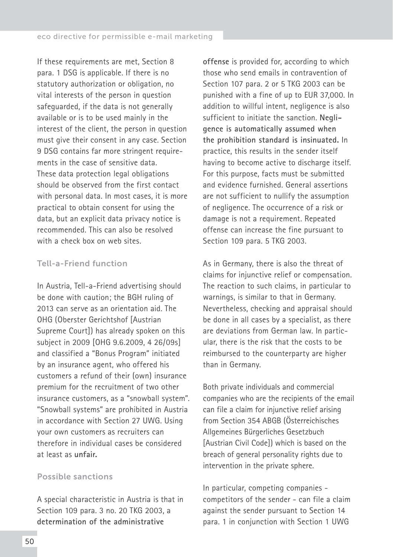If these requirements are met, Section 8 para. 1 DSG is applicable. If there is no statutory authorization or obligation, no vital interests of the person in question safeguarded, if the data is not generally available or is to be used mainly in the interest of the client, the person in question must give their consent in any case. Section 9 DSG contains far more stringent requirements in the case of sensitive data. These data protection legal obligations should be observed from the first contact with personal data. In most cases, it is more practical to obtain consent for using the data, but an explicit data privacy notice is recommended. This can also be resolved with a check box on web sites.

## Tell-a-Friend function

In Austria, Tell-a-Friend advertising should be done with caution; the BGH ruling of 2013 can serve as an orientation aid. The OHG (Oberster Gerichtshof [Austrian Supreme Court]) has already spoken on this subject in 2009 [OHG 9.6.2009, 4 26/09s] and classified a "Bonus Program" initiated by an insurance agent, who offered his customers a refund of their (own) insurance premium for the recruitment of two other insurance customers, as a "snowball system". "Snowball systems" are prohibited in Austria in accordance with Section 27 UWG. Using your own customers as recruiters can therefore in individual cases be considered at least as **unfair.**

#### Possible sanctions

A special characteristic in Austria is that in Section 109 para. 3 no. 20 TKG 2003, a **determination of the administrative** 

**offense** is provided for, according to which those who send emails in contravention of Section 107 para. 2 or 5 TKG 2003 can be punished with a fine of up to EUR 37,000. In addition to willful intent, negligence is also sufficient to initiate the sanction. **Negligence is automatically assumed when the prohibition standard is insinuated.** In practice, this results in the sender itself having to become active to discharge itself. For this purpose, facts must be submitted and evidence furnished. General assertions are not sufficient to nullify the assumption of negligence. The occurrence of a risk or damage is not a requirement. Repeated offense can increase the fine pursuant to Section 109 para. 5 TKG 2003.

As in Germany, there is also the threat of claims for injunctive relief or compensation. The reaction to such claims, in particular to warnings, is similar to that in Germany. Nevertheless, checking and appraisal should be done in all cases by a specialist, as there are deviations from German law. In particular, there is the risk that the costs to be reimbursed to the counterparty are higher than in Germany.

Both private individuals and commercial companies who are the recipients of the email can file a claim for injunctive relief arising from Section 354 ABGB (Österreichisches Allgemeines Bürgerliches Gesetzbuch [Austrian Civil Code]) which is based on the breach of general personality rights due to intervention in the private sphere.

In particular, competing companies competitors of the sender - can file a claim against the sender pursuant to Section 14 para. 1 in conjunction with Section 1 UWG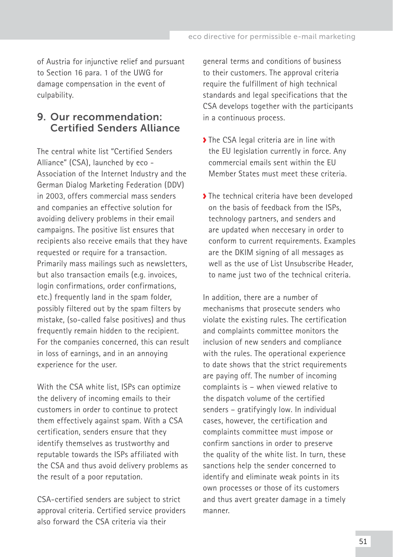<span id="page-50-0"></span>of Austria for injunctive relief and pursuant to Section 16 para. 1 of the UWG for damage compensation in the event of culpability.

# 9. Our recommendation: Certified Senders Alliance

The central white list "Certified Senders Alliance" (CSA), launched by eco -Association of the Internet Industry and the German Dialog Marketing Federation (DDV) in 2003, offers commercial mass senders and companies an effective solution for avoiding delivery problems in their email campaigns. The positive list ensures that recipients also receive emails that they have requested or require for a transaction. Primarily mass mailings such as newsletters, but also transaction emails (e.g. invoices, login confirmations, order confirmations, etc.) frequently land in the spam folder, possibly filtered out by the spam filters by mistake, (so-called false positives) and thus frequently remain hidden to the recipient. For the companies concerned, this can result in loss of earnings, and in an annoying experience for the user.

With the CSA white list, ISPs can optimize the delivery of incoming emails to their customers in order to continue to protect them effectively against spam. With a CSA certification, senders ensure that they identify themselves as trustworthy and reputable towards the ISPs affiliated with the CSA and thus avoid delivery problems as the result of a poor reputation.

CSA-certified senders are subject to strict approval criteria. Certified service providers also forward the CSA criteria via their

general terms and conditions of business to their customers. The approval criteria require the fulfillment of high technical standards and legal specifications that the CSA develops together with the participants in a continuous process.

- ◆ The CSA legal criteria are in line with the EU legislation currently in force. Any commercial emails sent within the EU Member States must meet these criteria.
- The technical criteria have been developed on the basis of feedback from the ISPs, technology partners, and senders and are updated when neccesary in order to conform to current requirements. Examples are the DKIM signing of all messages as well as the use of List Unsubscribe Header, to name just two of the technical criteria.

In addition, there are a number of mechanisms that prosecute senders who violate the existing rules. The certification and complaints committee monitors the inclusion of new senders and compliance with the rules. The operational experience to date shows that the strict requirements are paying off. The number of incoming complaints is – when viewed relative to the dispatch volume of the certified senders – gratifyingly low. In individual cases, however, the certification and complaints committee must impose or confirm sanctions in order to preserve the quality of the white list. In turn, these sanctions help the sender concerned to identify and eliminate weak points in its own processes or those of its customers and thus avert greater damage in a timely manner.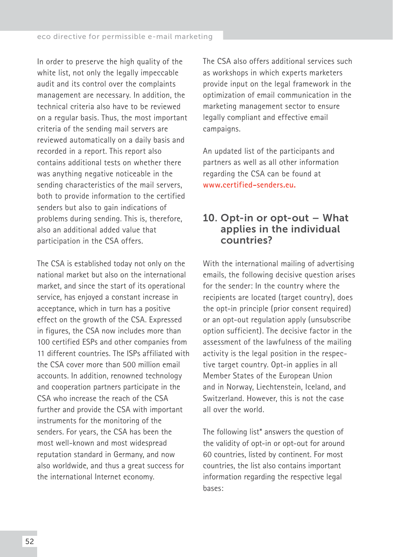<span id="page-51-0"></span>In order to preserve the high quality of the white list, not only the legally impeccable audit and its control over the complaints management are necessary. In addition, the technical criteria also have to be reviewed on a regular basis. Thus, the most important criteria of the sending mail servers are reviewed automatically on a daily basis and recorded in a report. This report also contains additional tests on whether there was anything negative noticeable in the sending characteristics of the mail servers, both to provide information to the certified senders but also to gain indications of problems during sending. This is, therefore, also an additional added value that participation in the CSA offers.

The CSA is established today not only on the national market but also on the international market, and since the start of its operational service, has enjoyed a constant increase in acceptance, which in turn has a positive effect on the growth of the CSA. Expressed in figures, the CSA now includes more than 100 certified ESPs and other companies from 11 different countries. The ISPs affiliated with the CSA cover more than 500 million email accounts. In addition, renowned technology and cooperation partners participate in the CSA who increase the reach of the CSA further and provide the CSA with important instruments for the monitoring of the senders. For years, the CSA has been the most well-known and most widespread reputation standard in Germany, and now also worldwide, and thus a great success for the international Internet economy.

The CSA also offers additional services such as workshops in which experts marketers provide input on the legal framework in the optimization of email communication in the marketing management sector to ensure legally compliant and effective email campaigns.

An updated list of the participants and partners as well as all other information regarding the CSA can be found at **[www.certified-senders.eu.](https://certified-senders.eu)**

# 10. Opt-in or opt-out – What applies in the individual countries?

With the international mailing of advertising emails, the following decisive question arises for the sender: In the country where the recipients are located (target country), does the opt-in principle (prior consent required) or an opt-out regulation apply (unsubscribe option sufficient). The decisive factor in the assessment of the lawfulness of the mailing activity is the legal position in the respective target country. Opt-in applies in all Member States of the European Union and in Norway, Liechtenstein, Iceland, and Switzerland. However, this is not the case all over the world.

The following list\* answers the question of the validity of opt-in or opt-out for around 60 countries, listed by continent. For most countries, the list also contains important information regarding the respective legal bases: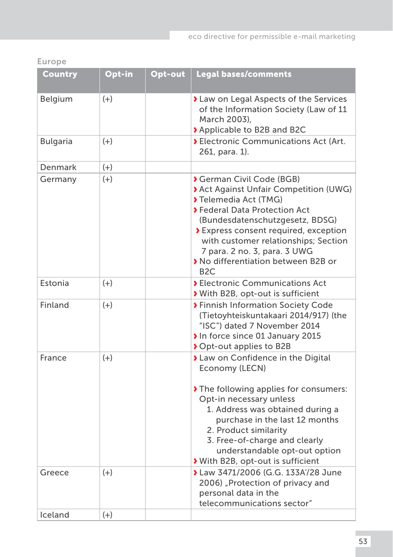Europe

| Country         | Opt-in | Opt-out | <b>Legal bases/comments</b>                                                                                                                                                                                                                                                                                                                    |
|-----------------|--------|---------|------------------------------------------------------------------------------------------------------------------------------------------------------------------------------------------------------------------------------------------------------------------------------------------------------------------------------------------------|
| Belgium         | $(+)$  |         | > Law on Legal Aspects of the Services<br>of the Information Society (Law of 11<br>March 2003),<br>◆ Applicable to B2B and B2C                                                                                                                                                                                                                 |
| <b>Bulgaria</b> | $(+)$  |         | > Electronic Communications Act (Art.<br>261, para. 1).                                                                                                                                                                                                                                                                                        |
| Denmark         | $(+)$  |         |                                                                                                                                                                                                                                                                                                                                                |
| Germany         | $(+)$  |         | <b>German Civil Code (BGB)</b><br>> Act Against Unfair Competition (UWG)<br>Telemedia Act (TMG)<br>> Federal Data Protection Act<br>(Bundesdatenschutzgesetz, BDSG)<br>> Express consent required, exception<br>with customer relationships; Section<br>7 para. 2 no. 3, para. 3 UWG<br>> No differentiation between B2B or<br>B <sub>2C</sub> |
| Estonia         | $(+)$  |         | <b>&gt; Electronic Communications Act</b><br>With B2B, opt-out is sufficient                                                                                                                                                                                                                                                                   |
| Finland         | $(+)$  |         | > Finnish Information Society Code<br>(Tietoyhteiskuntakaari 2014/917) (the<br>"ISC") dated 7 November 2014<br>In force since 01 January 2015<br>◆ Opt-out applies to B2B                                                                                                                                                                      |
| France          | $(+)$  |         | > Law on Confidence in the Digital<br>Economy (LECN)<br>The following applies for consumers:<br>Opt-in necessary unless<br>1. Address was obtained during a<br>purchase in the last 12 months<br>2. Product similarity<br>3. Free-of-charge and clearly<br>understandable opt-out option<br>With B2B, opt-out is sufficient                    |
| Greece          | $(+)$  |         | > Law 3471/2006 (G.G. 133A'/28 June<br>2006) "Protection of privacy and<br>personal data in the<br>telecommunications sector"                                                                                                                                                                                                                  |
| Iceland         | $(+)$  |         |                                                                                                                                                                                                                                                                                                                                                |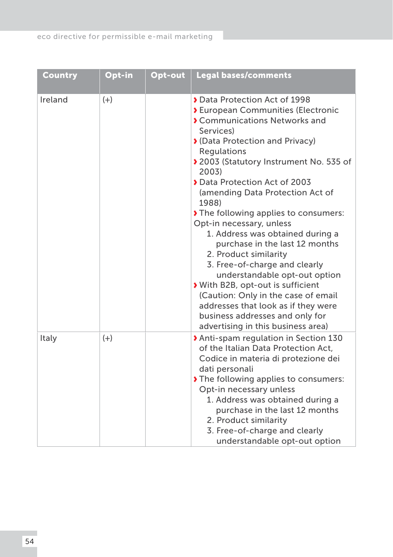| <b>Country</b> | Opt-in | Opt-out | <b>Legal bases/comments</b>                                                                                                                                                                                                                                                                                                                                                                                                                                                                                                                                                                                                                                                                                                   |
|----------------|--------|---------|-------------------------------------------------------------------------------------------------------------------------------------------------------------------------------------------------------------------------------------------------------------------------------------------------------------------------------------------------------------------------------------------------------------------------------------------------------------------------------------------------------------------------------------------------------------------------------------------------------------------------------------------------------------------------------------------------------------------------------|
| Ireland        | $(+)$  |         | Data Protection Act of 1998<br>> European Communities (Electronic<br>Communications Networks and<br>Services)<br>◆ (Data Protection and Privacy)<br>Regulations<br>> 2003 (Statutory Instrument No. 535 of<br>2003)<br>Data Protection Act of 2003<br>(amending Data Protection Act of<br>1988)<br>The following applies to consumers:<br>Opt-in necessary, unless<br>1. Address was obtained during a<br>purchase in the last 12 months<br>2. Product similarity<br>3. Free-of-charge and clearly<br>understandable opt-out option<br>With B2B, opt-out is sufficient<br>(Caution: Only in the case of email<br>addresses that look as if they were<br>business addresses and only for<br>advertising in this business area) |
| Italy          | $(+)$  |         | > Anti-spam regulation in Section 130<br>of the Italian Data Protection Act,<br>Codice in materia di protezione dei<br>dati personali<br>The following applies to consumers:<br>Opt-in necessary unless<br>1. Address was obtained during a<br>purchase in the last 12 months<br>2. Product similarity<br>3. Free-of-charge and clearly<br>understandable opt-out option                                                                                                                                                                                                                                                                                                                                                      |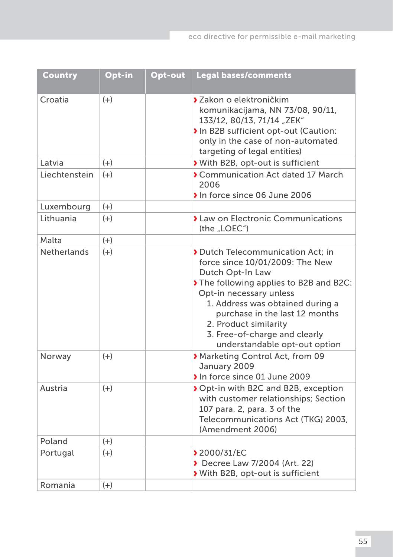| <b>Country</b>     | Opt-in | Opt-out | <b>Legal bases/comments</b>                                                                                                                                                                                                                                                                                                 |
|--------------------|--------|---------|-----------------------------------------------------------------------------------------------------------------------------------------------------------------------------------------------------------------------------------------------------------------------------------------------------------------------------|
| Croatia            | $(+)$  |         | > Zakon o elektroničkim<br>komunikacijama, NN 73/08, 90/11,<br>133/12, 80/13, 71/14 "ZEK"<br>In B2B sufficient opt-out (Caution:<br>only in the case of non-automated<br>targeting of legal entities)                                                                                                                       |
| Latvia             | $(+)$  |         | With B2B, opt-out is sufficient                                                                                                                                                                                                                                                                                             |
| Liechtenstein      | $(+)$  |         | Communication Act dated 17 March<br>2006<br>In force since 06 June 2006                                                                                                                                                                                                                                                     |
| Luxembourg         | $(+)$  |         |                                                                                                                                                                                                                                                                                                                             |
| Lithuania          | $(+)$  |         | <b>I</b> Law on Electronic Communications<br>(the "LOEC")                                                                                                                                                                                                                                                                   |
| Malta              | $(+)$  |         |                                                                                                                                                                                                                                                                                                                             |
| <b>Netherlands</b> | $(+)$  |         | Dutch Telecommunication Act: in<br>force since 10/01/2009: The New<br>Dutch Opt-In Law<br>The following applies to B2B and B2C:<br>Opt-in necessary unless<br>1. Address was obtained during a<br>purchase in the last 12 months<br>2. Product similarity<br>3. Free-of-charge and clearly<br>understandable opt-out option |
| Norway             | $(+)$  |         | Marketing Control Act, from 09<br>January 2009<br>In force since 01 June 2009                                                                                                                                                                                                                                               |
| Austria            | $(+)$  |         | ◆ Opt-in with B2C and B2B, exception<br>with customer relationships; Section<br>107 para. 2, para. 3 of the<br>Telecommunications Act (TKG) 2003,<br>(Amendment 2006)                                                                                                                                                       |
| Poland             | $(+)$  |         |                                                                                                                                                                                                                                                                                                                             |
| Portugal           | $(+)$  |         | <b>12000/31/EC</b><br>Decree Law 7/2004 (Art. 22)<br>With B2B, opt-out is sufficient                                                                                                                                                                                                                                        |
| Romania            | $(+)$  |         |                                                                                                                                                                                                                                                                                                                             |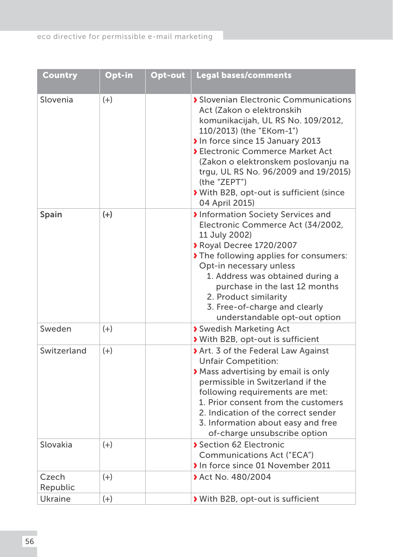| <b>Country</b>    | Opt-in | Opt-out | <b>Legal bases/comments</b>                                                                                                                                                                                                                                                                                                                                                   |
|-------------------|--------|---------|-------------------------------------------------------------------------------------------------------------------------------------------------------------------------------------------------------------------------------------------------------------------------------------------------------------------------------------------------------------------------------|
| Slovenia          | $(+)$  |         | Slovenian Electronic Communications<br>Act (Zakon o elektronskih<br>komunikacijah, UL RS No. 109/2012,<br>110/2013) (the "EKom-1")<br>In force since 15 January 2013<br><b>&gt; Electronic Commerce Market Act</b><br>(Zakon o elektronskem poslovanju na<br>trgu, UL RS No. 96/2009 and 19/2015)<br>(the "ZEPT")<br>With B2B, opt-out is sufficient (since<br>04 April 2015) |
| Spain             | $(+)$  |         | Information Society Services and<br>Electronic Commerce Act (34/2002,<br>11 July 2002)<br>▶ Royal Decree 1720/2007<br>The following applies for consumers:<br>Opt-in necessary unless<br>1. Address was obtained during a<br>purchase in the last 12 months<br>2. Product similarity<br>3. Free-of-charge and clearly<br>understandable opt-out option                        |
| Sweden            | $(+)$  |         | Swedish Marketing Act<br>With B2B, opt-out is sufficient                                                                                                                                                                                                                                                                                                                      |
| Switzerland       | $(+)$  |         | Art. 3 of the Federal Law Against<br><b>Unfair Competition:</b><br>Mass advertising by email is only<br>permissible in Switzerland if the<br>following requirements are met:<br>1. Prior consent from the customers<br>2. Indication of the correct sender<br>3. Information about easy and free<br>of-charge unsubscribe option                                              |
| Slovakia          | $(+)$  |         | Section 62 Electronic<br>Communications Act ("ECA")<br>In force since 01 November 2011                                                                                                                                                                                                                                                                                        |
| Czech<br>Republic | $(+)$  |         | > Act No. 480/2004                                                                                                                                                                                                                                                                                                                                                            |
| Ukraine           | $(+)$  |         | With B2B, opt-out is sufficient                                                                                                                                                                                                                                                                                                                                               |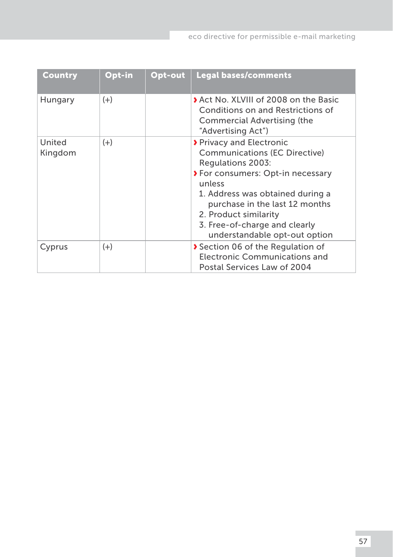| Country           | Opt-in | Opt-out | <b>Legal bases/comments</b>                                                                                                                                                                                                                                                                           |
|-------------------|--------|---------|-------------------------------------------------------------------------------------------------------------------------------------------------------------------------------------------------------------------------------------------------------------------------------------------------------|
| Hungary           | $(+)$  |         | Act No. XLVIII of 2008 on the Basic<br>Conditions on and Restrictions of<br>Commercial Advertising (the<br>"Advertising Act")                                                                                                                                                                         |
| United<br>Kingdom | $(+)$  |         | <b>▶</b> Privacy and Electronic<br>Communications (EC Directive)<br>Regulations 2003:<br>> For consumers: Opt-in necessary<br>unless<br>1. Address was obtained during a<br>purchase in the last 12 months<br>2. Product similarity<br>3. Free-of-charge and clearly<br>understandable opt-out option |
| Cyprus            | $(+)$  |         | Section 06 of the Regulation of<br>Electronic Communications and<br>Postal Services Law of 2004                                                                                                                                                                                                       |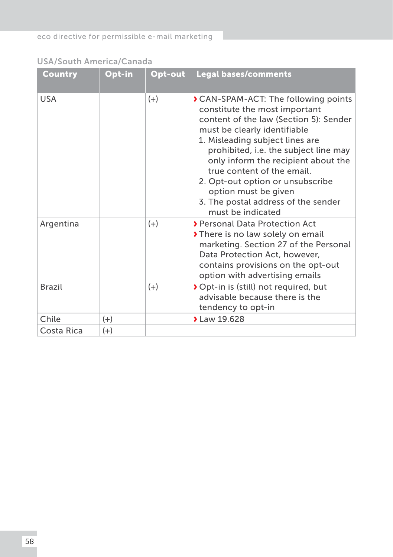USA/South America/Canada

| Country       | Opt-in | Opt-out | <b>Legal bases/comments</b>                                                                                                                                                                                                                                                                                                                                                                                                        |
|---------------|--------|---------|------------------------------------------------------------------------------------------------------------------------------------------------------------------------------------------------------------------------------------------------------------------------------------------------------------------------------------------------------------------------------------------------------------------------------------|
| <b>USA</b>    |        | $(+)$   | <b>&gt; CAN-SPAM-ACT: The following points</b><br>constitute the most important<br>content of the law (Section 5): Sender<br>must be clearly identifiable<br>1. Misleading subject lines are<br>prohibited, i.e. the subject line may<br>only inform the recipient about the<br>true content of the email.<br>2. Opt-out option or unsubscribe<br>option must be given<br>3. The postal address of the sender<br>must be indicated |
| Argentina     |        | $(+)$   | > Personal Data Protection Act<br>There is no law solely on email<br>marketing. Section 27 of the Personal<br>Data Protection Act, however,<br>contains provisions on the opt-out<br>option with advertising emails                                                                                                                                                                                                                |
| <b>Brazil</b> |        | $(+)$   | ◆ Opt-in is (still) not required, but<br>advisable because there is the<br>tendency to opt-in                                                                                                                                                                                                                                                                                                                                      |
| Chile         | $(+)$  |         | > Law 19.628                                                                                                                                                                                                                                                                                                                                                                                                                       |
| Costa Rica    | $(+)$  |         |                                                                                                                                                                                                                                                                                                                                                                                                                                    |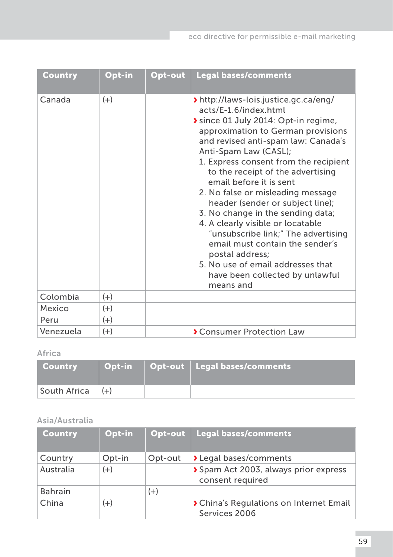| Country   | Opt-in | Opt-out | Legal bases/comments                                                                                                                                                                                                                                                                                                                                                                                                                                                                                                                                                                                                                                     |
|-----------|--------|---------|----------------------------------------------------------------------------------------------------------------------------------------------------------------------------------------------------------------------------------------------------------------------------------------------------------------------------------------------------------------------------------------------------------------------------------------------------------------------------------------------------------------------------------------------------------------------------------------------------------------------------------------------------------|
| Canada    | $(+)$  |         | > http://laws-lois.justice.gc.ca/eng/<br>acts/E-1.6/index.html<br>Since 01 July 2014: Opt-in regime,<br>approximation to German provisions<br>and revised anti-spam law: Canada's<br>Anti-Spam Law (CASL);<br>1. Express consent from the recipient<br>to the receipt of the advertising<br>email before it is sent<br>2. No false or misleading message<br>header (sender or subject line);<br>3. No change in the sending data;<br>4. A clearly visible or locatable<br>"unsubscribe link;" The advertising<br>email must contain the sender's<br>postal address;<br>5. No use of email addresses that<br>have been collected by unlawful<br>means and |
| Colombia  | $(+)$  |         |                                                                                                                                                                                                                                                                                                                                                                                                                                                                                                                                                                                                                                                          |
| Mexico    | $(+)$  |         |                                                                                                                                                                                                                                                                                                                                                                                                                                                                                                                                                                                                                                                          |
| Peru      | $(+)$  |         |                                                                                                                                                                                                                                                                                                                                                                                                                                                                                                                                                                                                                                                          |
| Venezuela | $(+)$  |         | Consumer Protection Law                                                                                                                                                                                                                                                                                                                                                                                                                                                                                                                                                                                                                                  |

# Africa

| <b>Country</b>       | Opt-in | Opt-out   Legal bases/comments |
|----------------------|--------|--------------------------------|
| South Africa $ (+) $ |        |                                |

# Asia/Australia

| <b>Country</b> | Opt-in | Opt-out | Legal bases/comments                                     |
|----------------|--------|---------|----------------------------------------------------------|
| Country        | Opt-in | Opt-out | > Legal bases/comments                                   |
| Australia      | $(+)$  |         | Spam Act 2003, always prior express<br>consent required  |
| <b>Bahrain</b> |        | $(+)$   |                                                          |
| China          | $(+)$  |         | > China's Regulations on Internet Email<br>Services 2006 |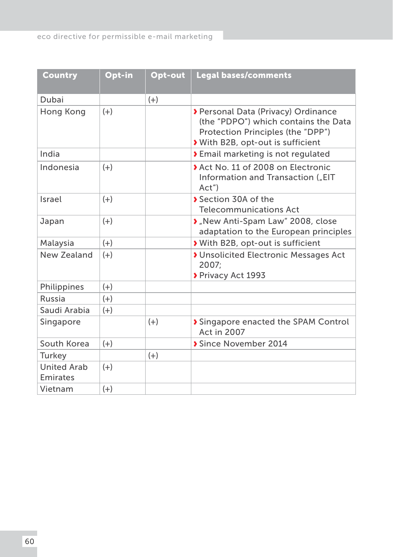| Country                        | Opt-in | Opt-out | <b>Legal bases/comments</b>                                                                                                                         |
|--------------------------------|--------|---------|-----------------------------------------------------------------------------------------------------------------------------------------------------|
| Dubai                          |        | $(+)$   |                                                                                                                                                     |
| Hong Kong                      | $(+)$  |         | > Personal Data (Privacy) Ordinance<br>(the "PDPO") which contains the Data<br>Protection Principles (the "DPP")<br>With B2B, opt-out is sufficient |
| India                          |        |         | <b>&gt;</b> Email marketing is not regulated                                                                                                        |
| Indonesia                      | $(+)$  |         | Act No. 11 of 2008 on Electronic<br>Information and Transaction ("EIT<br>Act'                                                                       |
| Israel                         | $(+)$  |         | Section 30A of the<br><b>Telecommunications Act</b>                                                                                                 |
| Japan                          | $(+)$  |         | » "New Anti-Spam Law" 2008, close<br>adaptation to the European principles                                                                          |
| Malaysia                       | $(+)$  |         | With B2B, opt-out is sufficient                                                                                                                     |
| New Zealand                    | $(+)$  |         | <b>&gt;</b> Unsolicited Electronic Messages Act<br>2007:<br>Privacy Act 1993                                                                        |
| Philippines                    | $(+)$  |         |                                                                                                                                                     |
| Russia                         | $(+)$  |         |                                                                                                                                                     |
| Saudi Arabia                   | $(+)$  |         |                                                                                                                                                     |
| Singapore                      |        | $(+)$   | Singapore enacted the SPAM Control<br>Act in 2007                                                                                                   |
| South Korea                    | $(+)$  |         | Since November 2014                                                                                                                                 |
| Turkey                         |        | $(+)$   |                                                                                                                                                     |
| <b>United Arab</b><br>Emirates | $(+)$  |         |                                                                                                                                                     |
| Vietnam                        | $(+)$  |         |                                                                                                                                                     |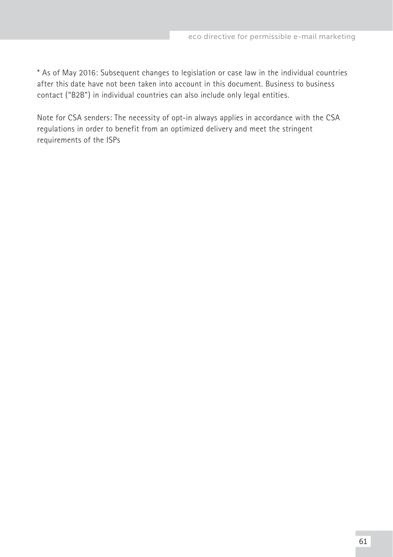\* As of May 2016: Subsequent changes to legislation or case law in the individual countries after this date have not been taken into account in this document. Business to business contact ("B2B") in individual countries can also include only legal entities.

Note for CSA senders: The necessity of opt-in always applies in accordance with the CSA regulations in order to benefit from an optimized delivery and meet the stringent requirements of the ISPs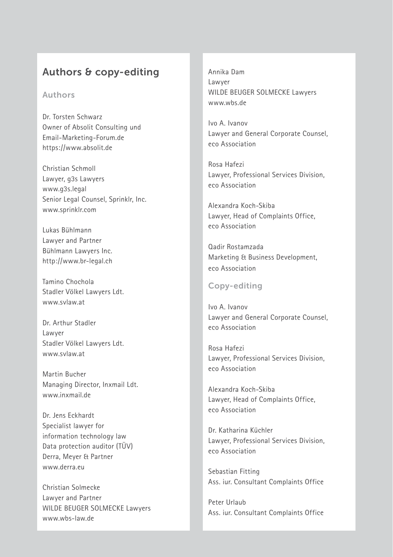# <span id="page-62-0"></span>Authors & copy-editing

#### Authors

Dr. Torsten Schwarz Owner of Absolit Consulting und Email-Marketing-Forum.de <https://www.absolit.de>

Christian Schmoll Lawyer, g3s Lawyers [www.g3s.legal](http://www.g3s.legal) Senior Legal Counsel, Sprinklr, Inc. [www.sprinklr.com](http://www.sprinklr.com)

Lukas Bühlmann Lawyer and Partner Bühlmann Lawyers Inc. <http://www.br-legal.ch>

Tamino Chochola Stadler Völkel Lawyers Ldt. [www.svlaw.at](http://www.svlaw.at)

Dr. Arthur Stadler Lawyer Stadler Völkel Lawyers Ldt. [www.svlaw.at](http://www.svlaw.at)

Martin Bucher Managing Director, Inxmail Ldt. [www.inxmail.de](http://www.inxmail.de) 

Dr. Jens Eckhardt Specialist lawyer for information technology law Data protection auditor (TÜV) Derra, Meyer & Partner [www.derra.eu](http://www.derra.eu)

Christian Solmecke Lawyer and Partner WILDE BEUGER SOLMECKE Lawyers [www.wbs-law.de](http://www.wbs-law.de)

Annika Dam Lawyer WILDE BEUGER SOLMECKE Lawyers [www.wbs.de](http://www.wbs.de)

Ivo A. Ivanov Lawyer and General Corporate Counsel, eco Association

Rosa Hafezi Lawyer, Professional Services Division, eco Association

Alexandra Koch-Skiba Lawyer, Head of Complaints Office, eco Association

Qadir Rostamzada Marketing & Business Development, eco Association

## Copy-editing

Ivo A. Ivanov Lawyer and General Corporate Counsel, eco Association

Rosa Hafezi Lawyer, Professional Services Division, eco Association

Alexandra Koch-Skiba Lawyer, Head of Complaints Office, eco Association

Dr. Katharina Küchler Lawyer, Professional Services Division, eco Association

Sebastian Fitting Ass. iur. Consultant Complaints Office

Peter Urlaub Ass. iur. Consultant Complaints Office